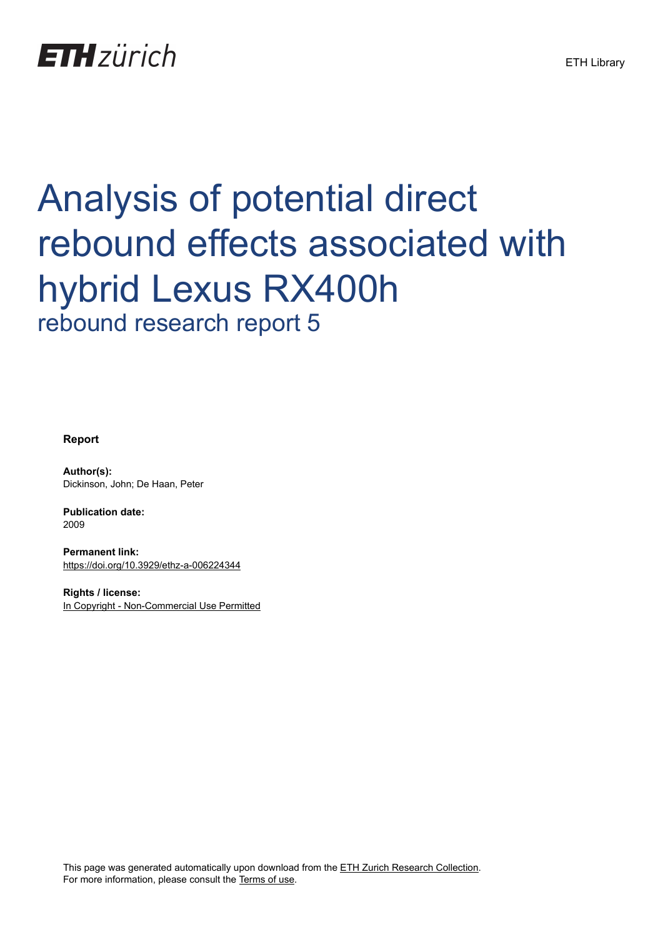# **ETH**zürich

# Analysis of potential direct rebound effects associated with hybrid Lexus RX400h rebound research report 5

#### **Report**

**Author(s):** Dickinson, John; De Haan, Peter

**Publication date:** 2009

**Permanent link:** <https://doi.org/10.3929/ethz-a-006224344>

**Rights / license:** [In Copyright - Non-Commercial Use Permitted](http://rightsstatements.org/page/InC-NC/1.0/)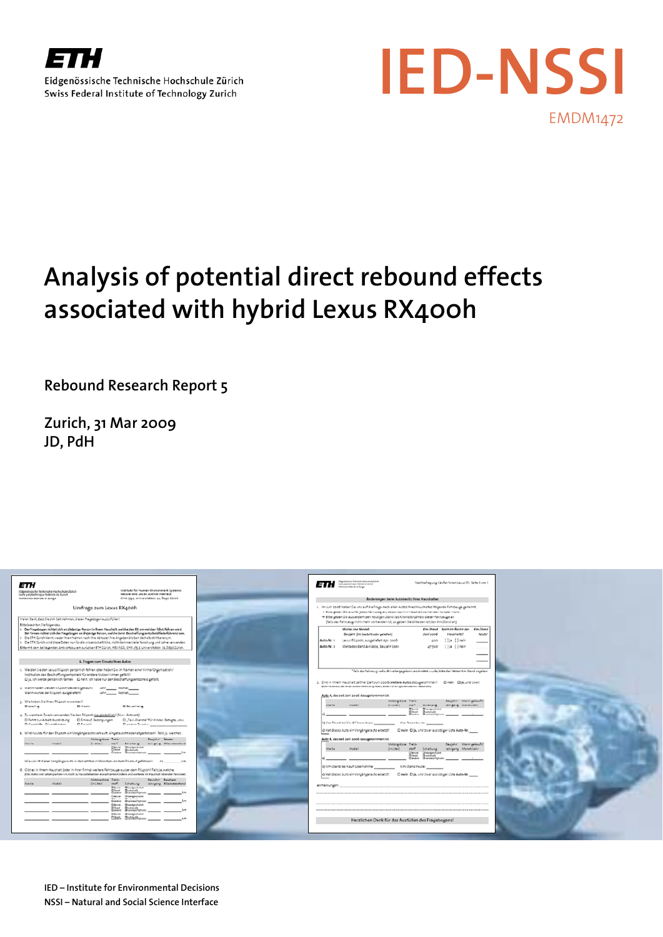



# **Analysis of potential direct rebound effects associated with hybrid Lexus RX400h**

**Rebound Research Report 5** 

**Zurich, 31 Mar 2009 JD, PdH** 

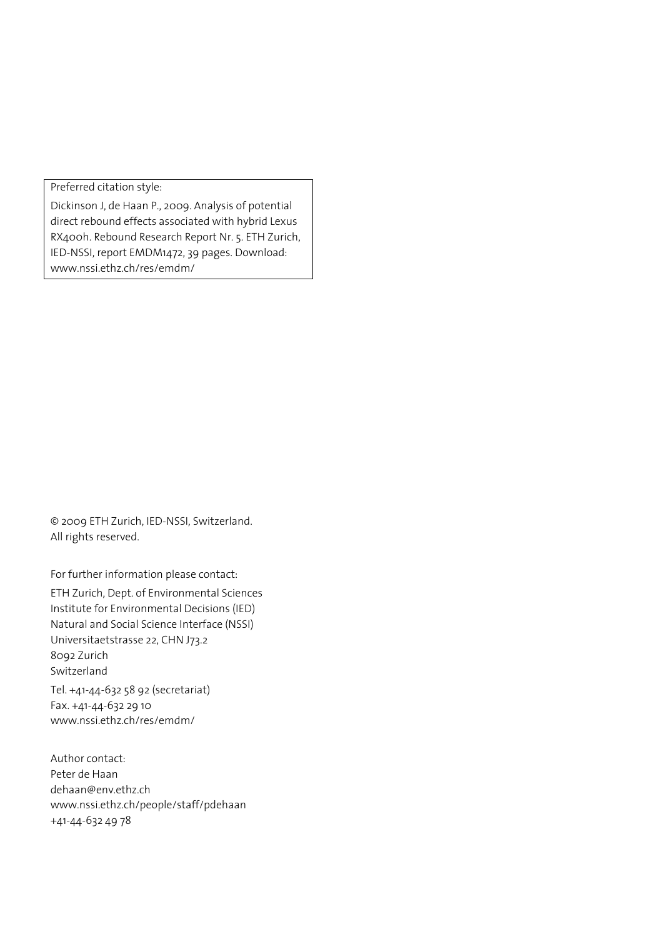Preferred citation style:

Dickinson J, de Haan P., 2009. Analysis of potential direct rebound effects associated with hybrid Lexus RX400h. Rebound Research Report Nr. 5. ETH Zurich, IED-NSSI, report EMDM1472, 39 pages. Download: www.nssi.ethz.ch/res/emdm/

© 2009 ETH Zurich, IED-NSSI, Switzerland. All rights reserved.

For further information please contact:

ETH Zurich, Dept. of Environmental Sciences Institute for Environmental Decisions (IED) Natural and Social Science Interface (NSSI) Universitaetstrasse 22, CHN J73.2 8092 Zurich Switzerland Tel. +41-44-632 58 92 (secretariat) Fax. +41-44-632 29 10 www.nssi.ethz.ch/res/emdm/

Author contact: Peter de Haan dehaan@env.ethz.ch www.nssi.ethz.ch/people/staff/pdehaan +41-44-632 49 78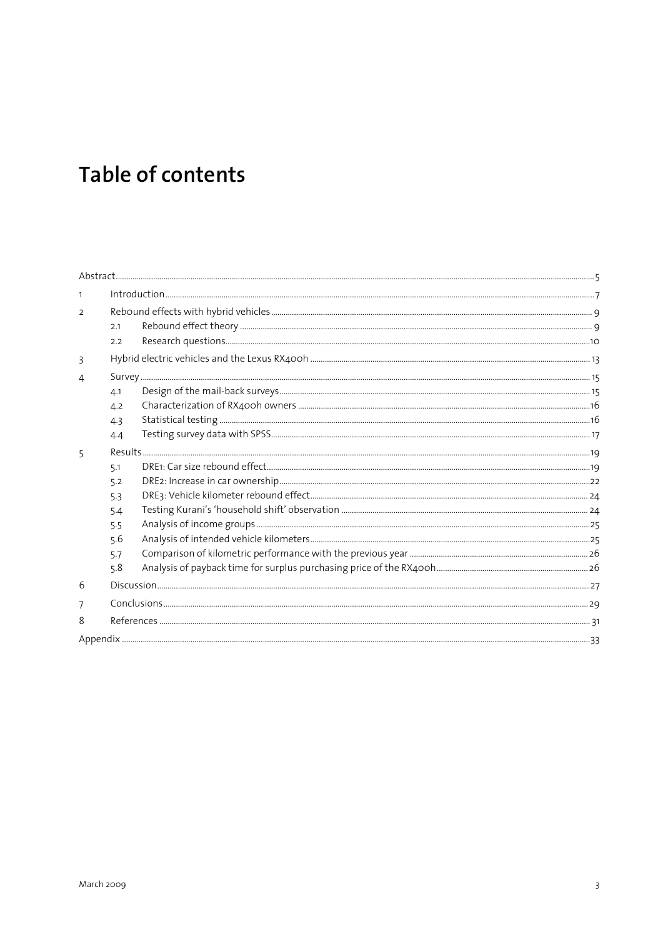## Table of contents

| 1 |     |  |
|---|-----|--|
| 2 |     |  |
|   | 2.1 |  |
|   | 2.2 |  |
| 3 |     |  |
| 4 |     |  |
|   | 4.1 |  |
|   | 4.2 |  |
|   | 4.3 |  |
|   | 4.4 |  |
| 5 |     |  |
|   | 5.1 |  |
|   | 5.2 |  |
|   | 5.3 |  |
|   | 5.4 |  |
|   | 5.5 |  |
|   | 5.6 |  |
|   | 5.7 |  |
|   | 5.8 |  |
| 6 |     |  |
| 7 |     |  |
| 8 |     |  |
|   |     |  |
|   |     |  |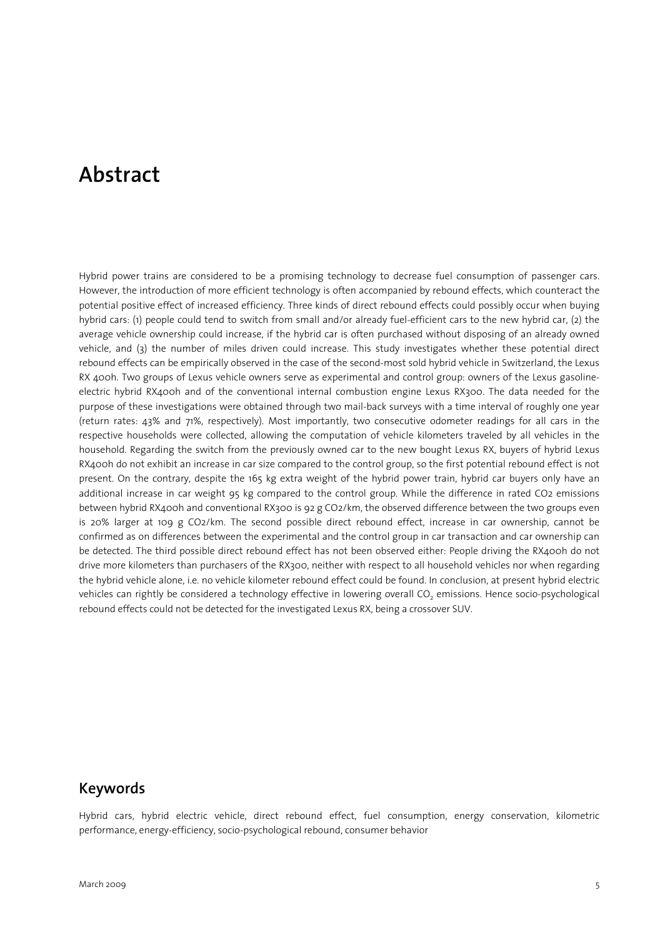## **Abstract**

Hybrid power trains are considered to be a promising technology to decrease fuel consumption of passenger cars. However, the introduction of more efficient technology is often accompanied by rebound effects, which counteract the potential positive effect of increased efficiency. Three kinds of direct rebound effects could possibly occur when buying hybrid cars: (1) people could tend to switch from small and/or already fuel-efficient cars to the new hybrid car, (2) the average vehicle ownership could increase, if the hybrid car is often purchased without disposing of an already owned vehicle, and (3) the number of miles driven could increase. This study investigates whether these potential direct rebound effects can be empirically observed in the case of the second-most sold hybrid vehicle in Switzerland, the Lexus RX 400h. Two groups of Lexus vehicle owners serve as experimental and control group: owners of the Lexus gasolineelectric hybrid RX400h and of the conventional internal combustion engine Lexus RX300. The data needed for the purpose of these investigations were obtained through two mail-back surveys with a time interval of roughly one year (return rates: 43% and 71%, respectively). Most importantly, two consecutive odometer readings for all cars in the respective households were collected, allowing the computation of vehicle kilometers traveled by all vehicles in the household. Regarding the switch from the previously owned car to the new bought Lexus RX, buyers of hybrid Lexus RX400h do not exhibit an increase in car size compared to the control group, so the first potential rebound effect is not present. On the contrary, despite the 165 kg extra weight of the hybrid power train, hybrid car buyers only have an additional increase in car weight 95 kg compared to the control group. While the difference in rated CO2 emissions between hybrid RX400h and conventional RX300 is 92 g CO2/km, the observed difference between the two groups even is 20% larger at 109 g CO2/km. The second possible direct rebound effect, increase in car ownership, cannot be confirmed as on differences between the experimental and the control group in car transaction and car ownership can be detected. The third possible direct rebound effect has not been observed either: People driving the RX400h do not drive more kilometers than purchasers of the RX300, neither with respect to all household vehicles nor when regarding the hybrid vehicle alone, i.e. no vehicle kilometer rebound effect could be found. In conclusion, at present hybrid electric vehicles can rightly be considered a technology effective in lowering overall CO<sub>2</sub> emissions. Hence socio-psychological rebound effects could not be detected for the investigated Lexus RX, being a crossover SUV.

### **Keywords**

Hybrid cars, hybrid electric vehicle, direct rebound effect, fuel consumption, energy conservation, kilometric performance, energy-efficiency, socio-psychological rebound, consumer behavior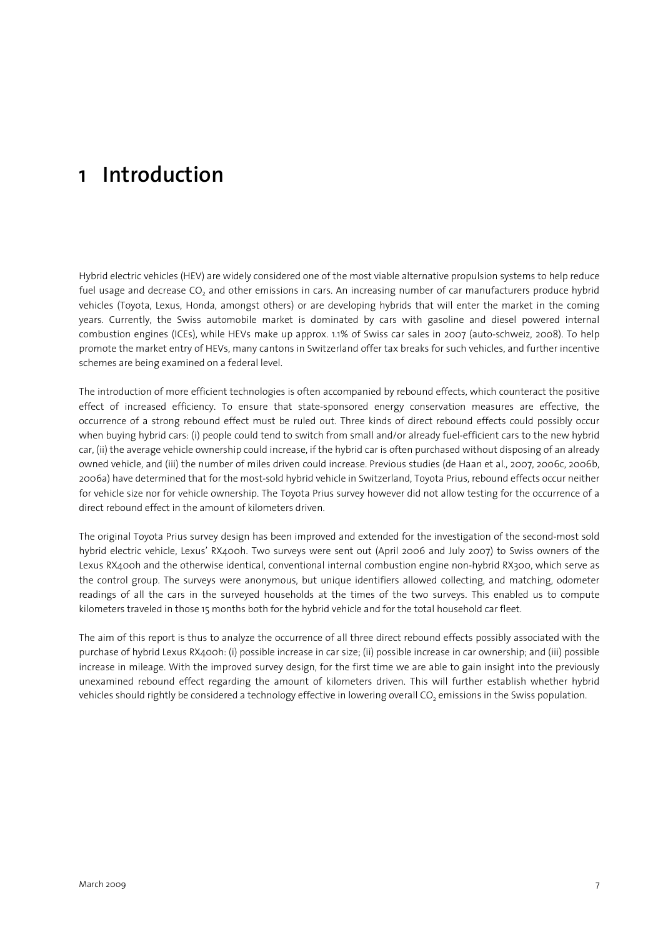## **1 Introduction**

Hybrid electric vehicles (HEV) are widely considered one of the most viable alternative propulsion systems to help reduce fuel usage and decrease CO<sub>2</sub> and other emissions in cars. An increasing number of car manufacturers produce hybrid vehicles (Toyota, Lexus, Honda, amongst others) or are developing hybrids that will enter the market in the coming years. Currently, the Swiss automobile market is dominated by cars with gasoline and diesel powered internal combustion engines (ICEs), while HEVs make up approx. 1.1% of Swiss car sales in 2007 (auto-schweiz, 2008). To help promote the market entry of HEVs, many cantons in Switzerland offer tax breaks for such vehicles, and further incentive schemes are being examined on a federal level.

The introduction of more efficient technologies is often accompanied by rebound effects, which counteract the positive effect of increased efficiency. To ensure that state-sponsored energy conservation measures are effective, the occurrence of a strong rebound effect must be ruled out. Three kinds of direct rebound effects could possibly occur when buying hybrid cars: (i) people could tend to switch from small and/or already fuel-efficient cars to the new hybrid car, (ii) the average vehicle ownership could increase, if the hybrid car is often purchased without disposing of an already owned vehicle, and (iii) the number of miles driven could increase. Previous studies (de Haan et al., 2007, 2006c, 2006b, 2006a) have determined that for the most-sold hybrid vehicle in Switzerland, Toyota Prius, rebound effects occur neither for vehicle size nor for vehicle ownership. The Toyota Prius survey however did not allow testing for the occurrence of a direct rebound effect in the amount of kilometers driven.

The original Toyota Prius survey design has been improved and extended for the investigation of the second-most sold hybrid electric vehicle, Lexus' RX400h. Two surveys were sent out (April 2006 and July 2007) to Swiss owners of the Lexus RX400h and the otherwise identical, conventional internal combustion engine non-hybrid RX300, which serve as the control group. The surveys were anonymous, but unique identifiers allowed collecting, and matching, odometer readings of all the cars in the surveyed households at the times of the two surveys. This enabled us to compute kilometers traveled in those 15 months both for the hybrid vehicle and for the total household car fleet.

The aim of this report is thus to analyze the occurrence of all three direct rebound effects possibly associated with the purchase of hybrid Lexus RX400h: (i) possible increase in car size; (ii) possible increase in car ownership; and (iii) possible increase in mileage. With the improved survey design, for the first time we are able to gain insight into the previously unexamined rebound effect regarding the amount of kilometers driven. This will further establish whether hybrid vehicles should rightly be considered a technology effective in lowering overall CO<sub>2</sub> emissions in the Swiss population.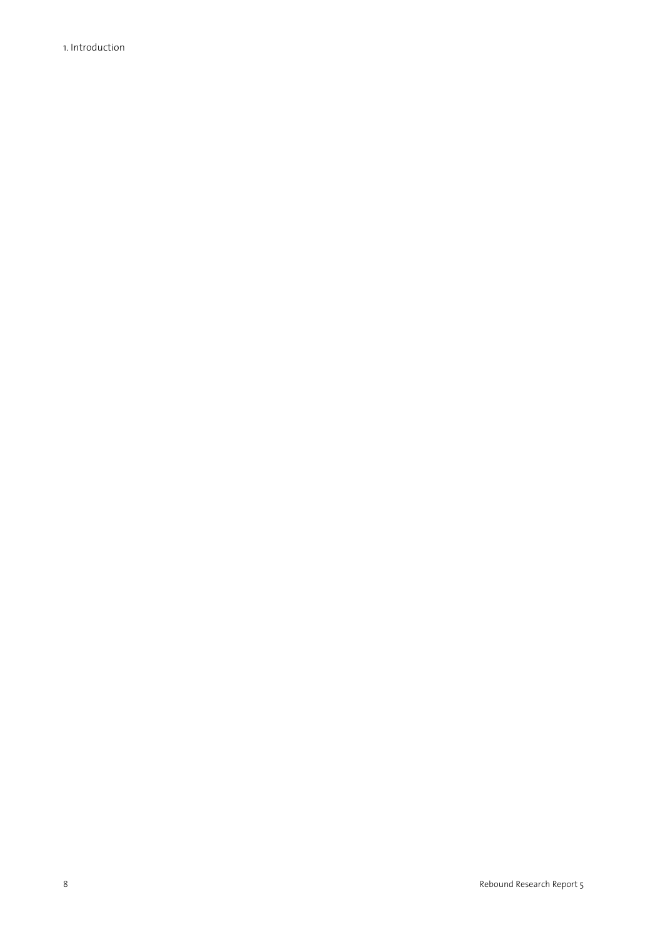1. Introduction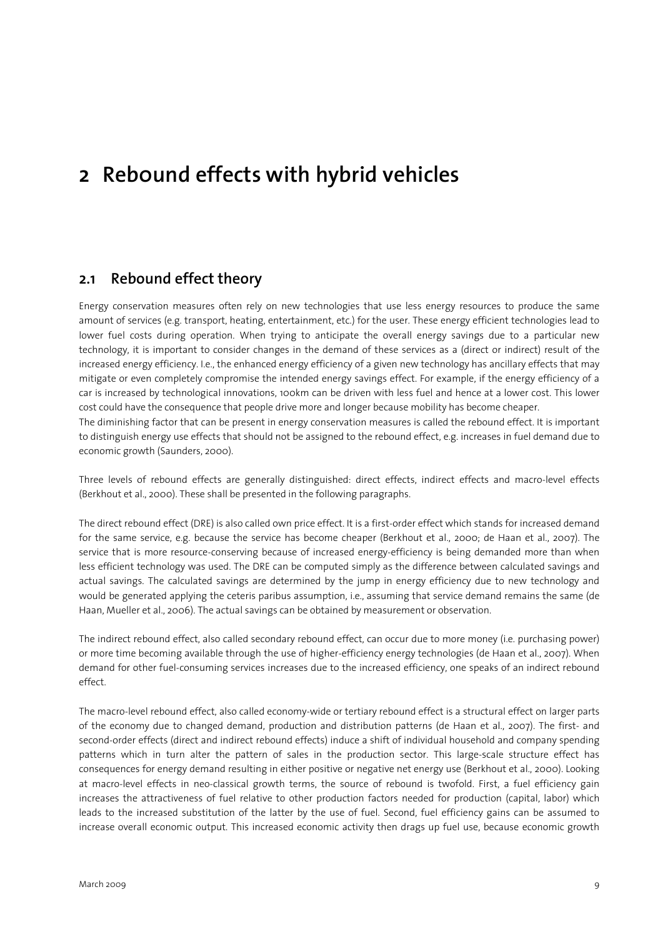## **2 Reb0und effects with hybrid vehicles**

### **2.1 Rebound effect theory**

Energy conservation measures often rely on new technologies that use less energy resources to produce the same amount of services (e.g. transport, heating, entertainment, etc.) for the user. These energy efficient technologies lead to lower fuel costs during operation. When trying to anticipate the overall energy savings due to a particular new technology, it is important to consider changes in the demand of these services as a (direct or indirect) result of the increased energy efficiency. I.e., the enhanced energy efficiency of a given new technology has ancillary effects that may mitigate or even completely compromise the intended energy savings effect. For example, if the energy efficiency of a car is increased by technological innovations, 100km can be driven with less fuel and hence at a lower cost. This lower cost could have the consequence that people drive more and longer because mobility has become cheaper.

The diminishing factor that can be present in energy conservation measures is called the rebound effect. It is important to distinguish energy use effects that should not be assigned to the rebound effect, e.g. increases in fuel demand due to economic growth (Saunders, 2000).

Three levels of rebound effects are generally distinguished: direct effects, indirect effects and macro-level effects (Berkhout et al., 2000). These shall be presented in the following paragraphs.

The direct rebound effect (DRE) is also called own price effect. It is a first-order effect which stands for increased demand for the same service, e.g. because the service has become cheaper (Berkhout et al., 2000; de Haan et al., 2007). The service that is more resource-conserving because of increased energy-efficiency is being demanded more than when less efficient technology was used. The DRE can be computed simply as the difference between calculated savings and actual savings. The calculated savings are determined by the jump in energy efficiency due to new technology and would be generated applying the ceteris paribus assumption, i.e., assuming that service demand remains the same (de Haan, Mueller et al., 2006). The actual savings can be obtained by measurement or observation.

The indirect rebound effect, also called secondary rebound effect, can occur due to more money (i.e. purchasing power) or more time becoming available through the use of higher-efficiency energy technologies (de Haan et al., 2007). When demand for other fuel-consuming services increases due to the increased efficiency, one speaks of an indirect rebound effect.

The macro-level rebound effect, also called economy-wide or tertiary rebound effect is a structural effect on larger parts of the economy due to changed demand, production and distribution patterns (de Haan et al., 2007). The first- and second-order effects (direct and indirect rebound effects) induce a shift of individual household and company spending patterns which in turn alter the pattern of sales in the production sector. This large-scale structure effect has consequences for energy demand resulting in either positive or negative net energy use (Berkhout et al., 2000). Looking at macro-level effects in neo-classical growth terms, the source of rebound is twofold. First, a fuel efficiency gain increases the attractiveness of fuel relative to other production factors needed for production (capital, labor) which leads to the increased substitution of the latter by the use of fuel. Second, fuel efficiency gains can be assumed to increase overall economic output. This increased economic activity then drags up fuel use, because economic growth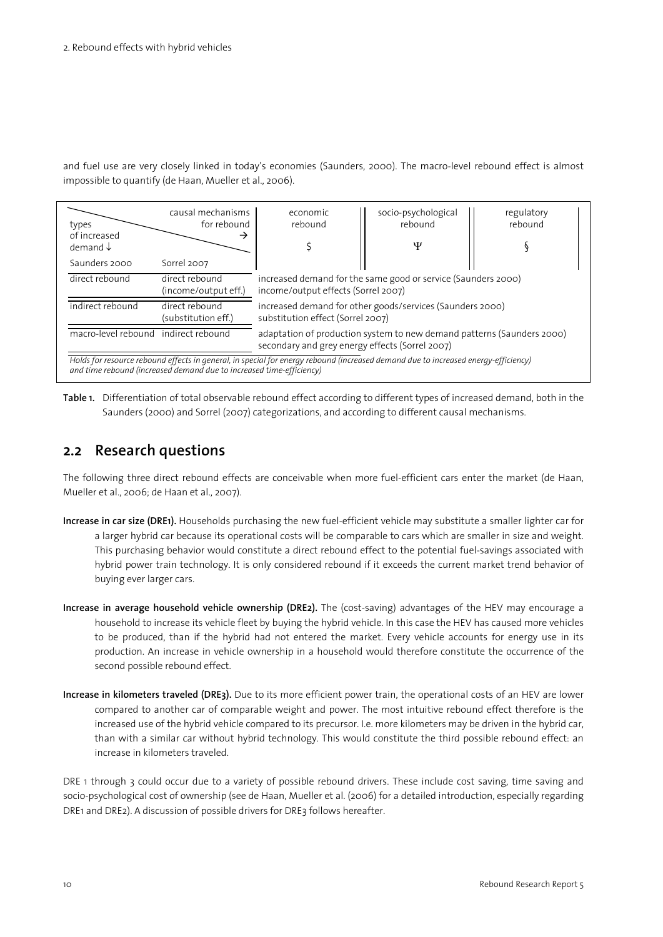and fuel use are very closely linked in today's economies (Saunders, 2000). The macro-level rebound effect is almost impossible to quantify (de Haan, Mueller et al., 2006).



**Table 1.** Differentiation of total observable rebound effect according to different types of increased demand, both in the Saunders (2000) and Sorrel (2007) categorizations, and according to different causal mechanisms.

### **2.2 Research questions**

The following three direct rebound effects are conceivable when more fuel-efficient cars enter the market (de Haan, Mueller et al., 2006; de Haan et al., 2007).

- **Increase in car size (DRE1).** Households purchasing the new fuel-efficient vehicle may substitute a smaller lighter car for a larger hybrid car because its operational costs will be comparable to cars which are smaller in size and weight. This purchasing behavior would constitute a direct rebound effect to the potential fuel-savings associated with hybrid power train technology. It is only considered rebound if it exceeds the current market trend behavior of buying ever larger cars.
- **Increase in average household vehicle ownership (DRE2).** The (cost-saving) advantages of the HEV may encourage a household to increase its vehicle fleet by buying the hybrid vehicle. In this case the HEV has caused more vehicles to be produced, than if the hybrid had not entered the market. Every vehicle accounts for energy use in its production. An increase in vehicle ownership in a household would therefore constitute the occurrence of the second possible rebound effect.
- **Increase in kilometers traveled (DRE3).** Due to its more efficient power train, the operational costs of an HEV are lower compared to another car of comparable weight and power. The most intuitive rebound effect therefore is the increased use of the hybrid vehicle compared to its precursor. I.e. more kilometers may be driven in the hybrid car, than with a similar car without hybrid technology. This would constitute the third possible rebound effect: an increase in kilometers traveled.

DRE 1 through 3 could occur due to a variety of possible rebound drivers. These include cost saving, time saving and socio-psychological cost of ownership (see de Haan, Mueller et al. (2006) for a detailed introduction, especially regarding DRE1 and DRE2). A discussion of possible drivers for DRE3 follows hereafter.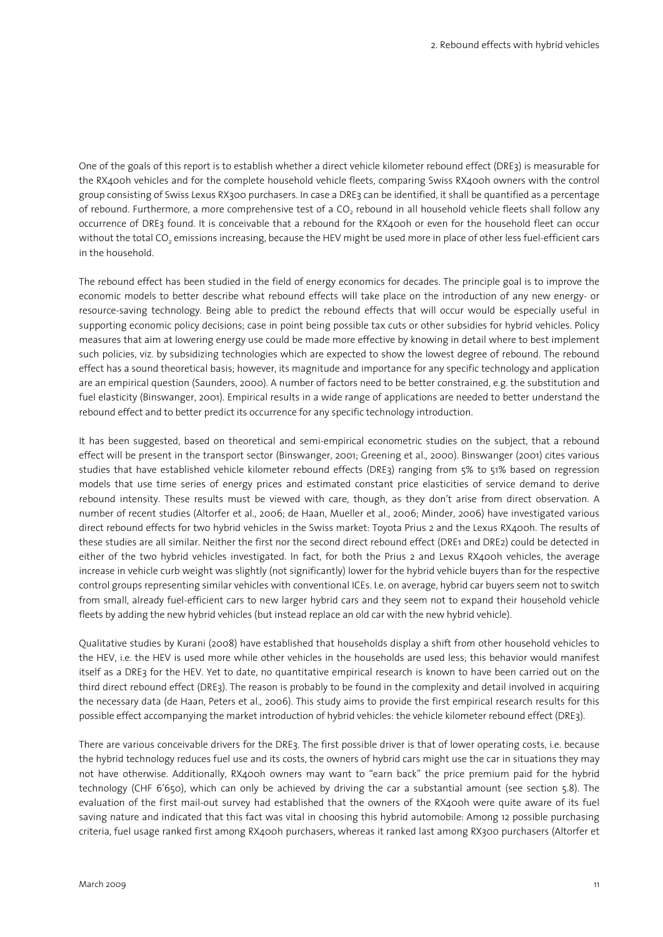One of the goals of this report is to establish whether a direct vehicle kilometer rebound effect (DRE3) is measurable for the RX400h vehicles and for the complete household vehicle fleets, comparing Swiss RX400h owners with the control group consisting of Swiss Lexus RX300 purchasers. In case a DRE3 can be identified, it shall be quantified as a percentage of rebound. Furthermore, a more comprehensive test of a CO<sub>2</sub> rebound in all household vehicle fleets shall follow any occurrence of DRE3 found. It is conceivable that a rebound for the RX400h or even for the household fleet can occur without the total CO<sub>2</sub> emissions increasing, because the HEV might be used more in place of other less fuel-efficient cars in the household.

The rebound effect has been studied in the field of energy economics for decades. The principle goal is to improve the economic models to better describe what rebound effects will take place on the introduction of any new energy- or resource-saving technology. Being able to predict the rebound effects that will occur would be especially useful in supporting economic policy decisions; case in point being possible tax cuts or other subsidies for hybrid vehicles. Policy measures that aim at lowering energy use could be made more effective by knowing in detail where to best implement such policies, viz. by subsidizing technologies which are expected to show the lowest degree of rebound. The rebound effect has a sound theoretical basis; however, its magnitude and importance for any specific technology and application are an empirical question (Saunders, 2000). A number of factors need to be better constrained, e.g. the substitution and fuel elasticity (Binswanger, 2001). Empirical results in a wide range of applications are needed to better understand the rebound effect and to better predict its occurrence for any specific technology introduction.

It has been suggested, based on theoretical and semi-empirical econometric studies on the subject, that a rebound effect will be present in the transport sector (Binswanger, 2001; Greening et al., 2000). Binswanger (2001) cites various studies that have established vehicle kilometer rebound effects (DRE3) ranging from 5% to 51% based on regression models that use time series of energy prices and estimated constant price elasticities of service demand to derive rebound intensity. These results must be viewed with care, though, as they don't arise from direct observation. A number of recent studies (Altorfer et al., 2006; de Haan, Mueller et al., 2006; Minder, 2006) have investigated various direct rebound effects for two hybrid vehicles in the Swiss market: Toyota Prius 2 and the Lexus RX400h. The results of these studies are all similar. Neither the first nor the second direct rebound effect (DRE1 and DRE2) could be detected in either of the two hybrid vehicles investigated. In fact, for both the Prius 2 and Lexus RX400h vehicles, the average increase in vehicle curb weight was slightly (not significantly) lower for the hybrid vehicle buyers than for the respective control groups representing similar vehicles with conventional ICEs. I.e. on average, hybrid car buyers seem not to switch from small, already fuel-efficient cars to new larger hybrid cars and they seem not to expand their household vehicle fleets by adding the new hybrid vehicles (but instead replace an old car with the new hybrid vehicle).

Qualitative studies by Kurani (2008) have established that households display a shift from other household vehicles to the HEV, i.e. the HEV is used more while other vehicles in the households are used less; this behavior would manifest itself as a DRE3 for the HEV. Yet to date, no quantitative empirical research is known to have been carried out on the third direct rebound effect (DRE3). The reason is probably to be found in the complexity and detail involved in acquiring the necessary data (de Haan, Peters et al., 2006). This study aims to provide the first empirical research results for this possible effect accompanying the market introduction of hybrid vehicles: the vehicle kilometer rebound effect (DRE3).

There are various conceivable drivers for the DRE3. The first possible driver is that of lower operating costs, i.e. because the hybrid technology reduces fuel use and its costs, the owners of hybrid cars might use the car in situations they may not have otherwise. Additionally, RX400h owners may want to "earn back" the price premium paid for the hybrid technology (CHF 6'650), which can only be achieved by driving the car a substantial amount (see section 5.8). The evaluation of the first mail-out survey had established that the owners of the RX400h were quite aware of its fuel saving nature and indicated that this fact was vital in choosing this hybrid automobile: Among 12 possible purchasing criteria, fuel usage ranked first among RX400h purchasers, whereas it ranked last among RX300 purchasers (Altorfer et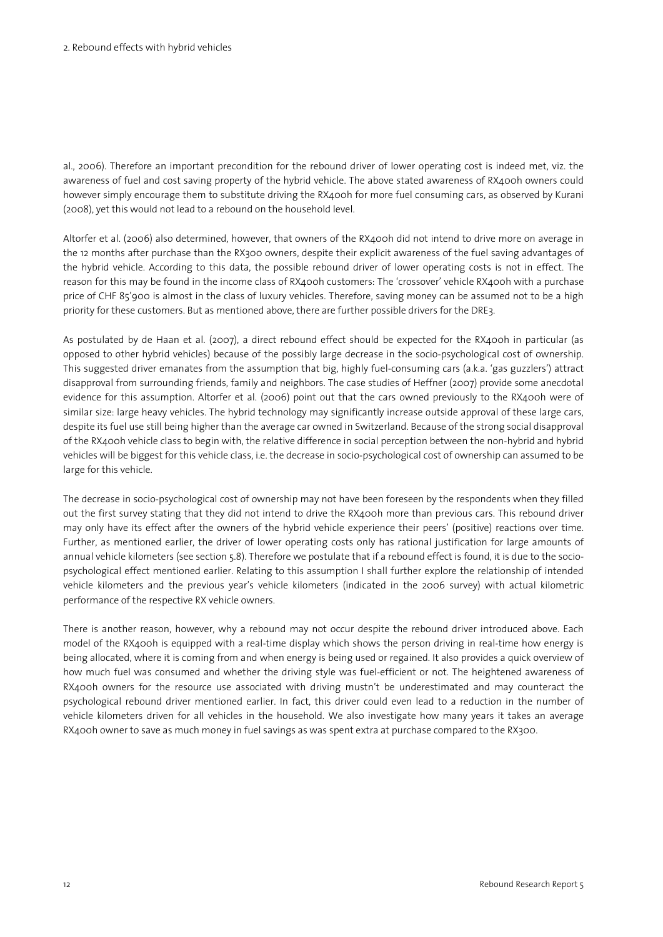al., 2006). Therefore an important precondition for the rebound driver of lower operating cost is indeed met, viz. the awareness of fuel and cost saving property of the hybrid vehicle. The above stated awareness of RX400h owners could however simply encourage them to substitute driving the RX400h for more fuel consuming cars, as observed by Kurani (2008), yet this would not lead to a rebound on the household level.

Altorfer et al. (2006) also determined, however, that owners of the RX400h did not intend to drive more on average in the 12 months after purchase than the RX300 owners, despite their explicit awareness of the fuel saving advantages of the hybrid vehicle. According to this data, the possible rebound driver of lower operating costs is not in effect. The reason for this may be found in the income class of RX400h customers: The 'crossover' vehicle RX400h with a purchase price of CHF 85'900 is almost in the class of luxury vehicles. Therefore, saving money can be assumed not to be a high priority for these customers. But as mentioned above, there are further possible drivers for the DRE3.

As postulated by de Haan et al. (2007), a direct rebound effect should be expected for the RX400h in particular (as opposed to other hybrid vehicles) because of the possibly large decrease in the socio-psychological cost of ownership. This suggested driver emanates from the assumption that big, highly fuel-consuming cars (a.k.a. 'gas guzzlers') attract disapproval from surrounding friends, family and neighbors. The case studies of Heffner (2007) provide some anecdotal evidence for this assumption. Altorfer et al. (2006) point out that the cars owned previously to the RX400h were of similar size: large heavy vehicles. The hybrid technology may significantly increase outside approval of these large cars, despite its fuel use still being higher than the average car owned in Switzerland. Because of the strong social disapproval of the RX400h vehicle class to begin with, the relative difference in social perception between the non-hybrid and hybrid vehicles will be biggest for this vehicle class, i.e. the decrease in socio-psychological cost of ownership can assumed to be large for this vehicle.

The decrease in socio-psychological cost of ownership may not have been foreseen by the respondents when they filled out the first survey stating that they did not intend to drive the RX400h more than previous cars. This rebound driver may only have its effect after the owners of the hybrid vehicle experience their peers' (positive) reactions over time. Further, as mentioned earlier, the driver of lower operating costs only has rational justification for large amounts of annual vehicle kilometers (see section 5.8). Therefore we postulate that if a rebound effect is found, it is due to the sociopsychological effect mentioned earlier. Relating to this assumption I shall further explore the relationship of intended vehicle kilometers and the previous year's vehicle kilometers (indicated in the 2006 survey) with actual kilometric performance of the respective RX vehicle owners.

There is another reason, however, why a rebound may not occur despite the rebound driver introduced above. Each model of the RX400h is equipped with a real-time display which shows the person driving in real-time how energy is being allocated, where it is coming from and when energy is being used or regained. It also provides a quick overview of how much fuel was consumed and whether the driving style was fuel-efficient or not. The heightened awareness of RX400h owners for the resource use associated with driving mustn't be underestimated and may counteract the psychological rebound driver mentioned earlier. In fact, this driver could even lead to a reduction in the number of vehicle kilometers driven for all vehicles in the household. We also investigate how many years it takes an average RX400h owner to save as much money in fuel savings as was spent extra at purchase compared to the RX300.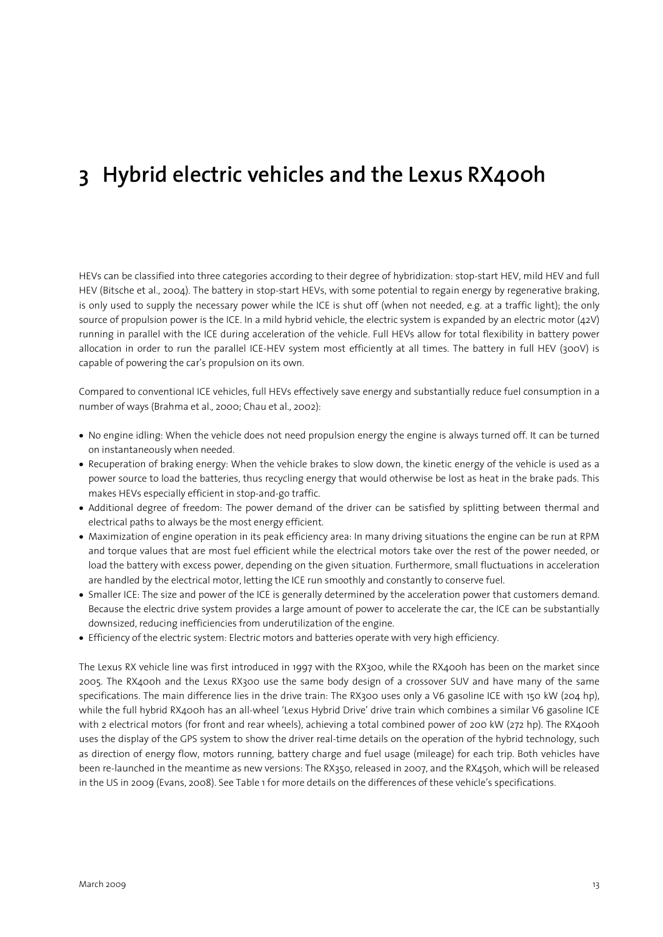## **3 Hybrid electric vehicles and the Lexus RX400h**

HEVs can be classified into three categories according to their degree of hybridization: stop-start HEV, mild HEV and full HEV (Bitsche et al., 2004). The battery in stop-start HEVs, with some potential to regain energy by regenerative braking, is only used to supply the necessary power while the ICE is shut off (when not needed, e.g. at a traffic light); the only source of propulsion power is the ICE. In a mild hybrid vehicle, the electric system is expanded by an electric motor (42V) running in parallel with the ICE during acceleration of the vehicle. Full HEVs allow for total flexibility in battery power allocation in order to run the parallel ICE-HEV system most efficiently at all times. The battery in full HEV (300V) is capable of powering the car's propulsion on its own.

Compared to conventional ICE vehicles, full HEVs effectively save energy and substantially reduce fuel consumption in a number of ways (Brahma et al., 2000; Chau et al., 2002):

- No engine idling: When the vehicle does not need propulsion energy the engine is always turned off. It can be turned on instantaneously when needed.
- Recuperation of braking energy: When the vehicle brakes to slow down, the kinetic energy of the vehicle is used as a power source to load the batteries, thus recycling energy that would otherwise be lost as heat in the brake pads. This makes HEVs especially efficient in stop-and-go traffic.
- Additional degree of freedom: The power demand of the driver can be satisfied by splitting between thermal and electrical paths to always be the most energy efficient.
- Maximization of engine operation in its peak efficiency area: In many driving situations the engine can be run at RPM and torque values that are most fuel efficient while the electrical motors take over the rest of the power needed, or load the battery with excess power, depending on the given situation. Furthermore, small fluctuations in acceleration are handled by the electrical motor, letting the ICE run smoothly and constantly to conserve fuel.
- Smaller ICE: The size and power of the ICE is generally determined by the acceleration power that customers demand. Because the electric drive system provides a large amount of power to accelerate the car, the ICE can be substantially downsized, reducing inefficiencies from underutilization of the engine.
- Efficiency of the electric system: Electric motors and batteries operate with very high efficiency.

The Lexus RX vehicle line was first introduced in 1997 with the RX300, while the RX400h has been on the market since 2005. The RX400h and the Lexus RX300 use the same body design of a crossover SUV and have many of the same specifications. The main difference lies in the drive train: The RX300 uses only a V6 gasoline ICE with 150 kW (204 hp), while the full hybrid RX400h has an all-wheel 'Lexus Hybrid Drive' drive train which combines a similar V6 gasoline ICE with 2 electrical motors (for front and rear wheels), achieving a total combined power of 200 kW (272 hp). The RX400h uses the display of the GPS system to show the driver real-time details on the operation of the hybrid technology, such as direction of energy flow, motors running, battery charge and fuel usage (mileage) for each trip. Both vehicles have been re-launched in the meantime as new versions: The RX350, released in 2007, and the RX450h, which will be released in the US in 2009 (Evans, 2008). See Table 1 for more details on the differences of these vehicle's specifications.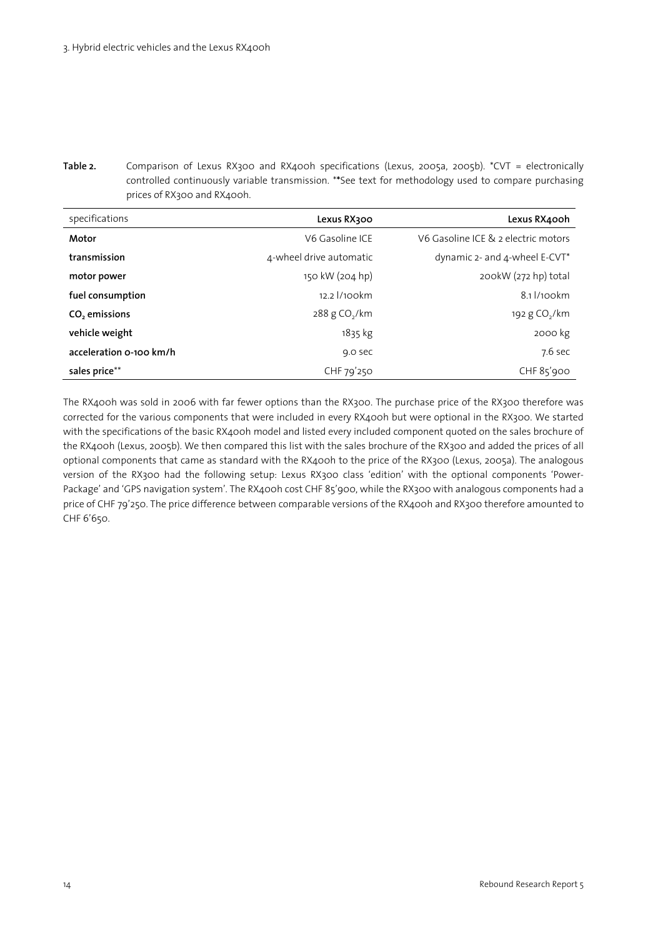**Table 2.** Comparison of Lexus RX300 and RX400h specifications (Lexus, 2005a, 2005b). \*CVT = electronically controlled continuously variable transmission. \***\***See text for methodology used to compare purchasing prices of RX300 and RX400h.

| specifications            | Lexus RX300               | Lexus RX400h                        |
|---------------------------|---------------------------|-------------------------------------|
| Motor                     | V6 Gasoline ICE           | V6 Gasoline ICE & 2 electric motors |
| transmission              | 4-wheel drive automatic   | dynamic 2- and 4-wheel $E$ -CVT*    |
| motor power               | 150 kW (204 hp)           | 200kW (272 hp) total                |
| fuel consumption          | 12.2 l/100km              | 8.1 l/100km                         |
| CO <sub>2</sub> emissions | 288 g CO <sub>2</sub> /km | 192 g $CO2/km$                      |
| vehicle weight            | 1835 kg                   | 2000 kg                             |
| acceleration 0-100 km/h   | 9.0 sec                   | $7.6$ sec                           |
| sales price**             | CHF 79'250                | CHF 85'900                          |

The RX400h was sold in 2006 with far fewer options than the RX300. The purchase price of the RX300 therefore was corrected for the various components that were included in every RX400h but were optional in the RX300. We started with the specifications of the basic RX400h model and listed every included component quoted on the sales brochure of the RX400h (Lexus, 2005b). We then compared this list with the sales brochure of the RX300 and added the prices of all optional components that came as standard with the RX400h to the price of the RX300 (Lexus, 2005a). The analogous version of the RX300 had the following setup: Lexus RX300 class 'edition' with the optional components 'Power-Package' and 'GPS navigation system'. The RX400h cost CHF 85'900, while the RX300 with analogous components had a price of CHF 79'250. The price difference between comparable versions of the RX400h and RX300 therefore amounted to CHF 6'650.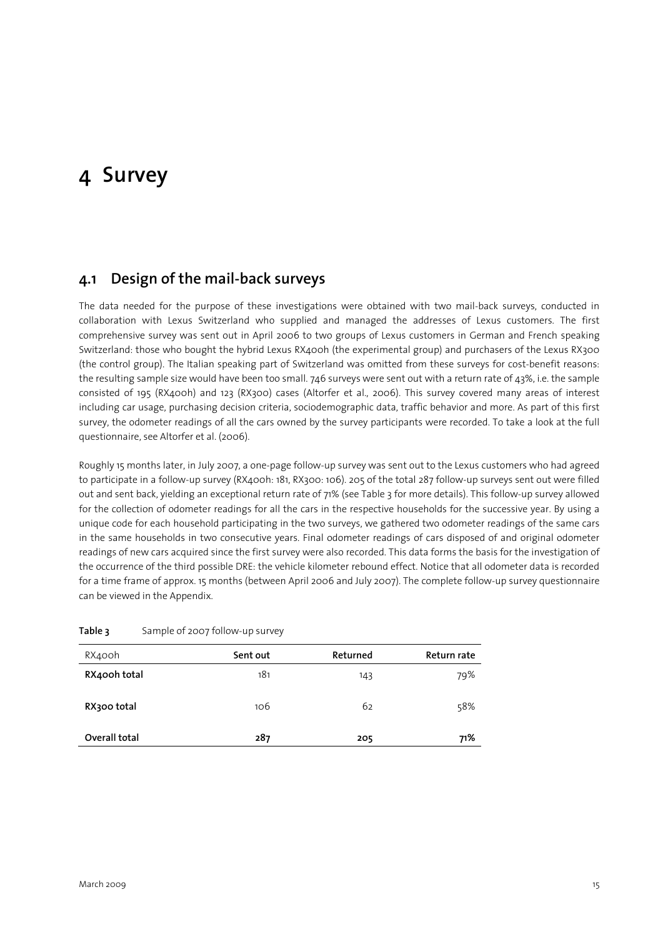## **4 Survey**

### **4.1 Design of the mail-back surveys**

The data needed for the purpose of these investigations were obtained with two mail-back surveys, conducted in collaboration with Lexus Switzerland who supplied and managed the addresses of Lexus customers. The first comprehensive survey was sent out in April 2006 to two groups of Lexus customers in German and French speaking Switzerland: those who bought the hybrid Lexus RX400h (the experimental group) and purchasers of the Lexus RX300 (the control group). The Italian speaking part of Switzerland was omitted from these surveys for cost-benefit reasons: the resulting sample size would have been too small. 746 surveys were sent out with a return rate of 43%, i.e. the sample consisted of 195 (RX400h) and 123 (RX300) cases (Altorfer et al., 2006). This survey covered many areas of interest including car usage, purchasing decision criteria, sociodemographic data, traffic behavior and more. As part of this first survey, the odometer readings of all the cars owned by the survey participants were recorded. To take a look at the full questionnaire, see Altorfer et al. (2006).

Roughly 15 months later, in July 2007, a one-page follow-up survey was sent out to the Lexus customers who had agreed to participate in a follow-up survey (RX400h: 181, RX300: 106). 205 of the total 287 follow-up surveys sent out were filled out and sent back, yielding an exceptional return rate of 71% (see Table 3 for more details). This follow-up survey allowed for the collection of odometer readings for all the cars in the respective households for the successive year. By using a unique code for each household participating in the two surveys, we gathered two odometer readings of the same cars in the same households in two consecutive years. Final odometer readings of cars disposed of and original odometer readings of new cars acquired since the first survey were also recorded. This data forms the basis for the investigation of the occurrence of the third possible DRE: the vehicle kilometer rebound effect. Notice that all odometer data is recorded for a time frame of approx. 15 months (between April 2006 and July 2007). The complete follow-up survey questionnaire can be viewed in the Appendix.

| Table 3 |  | Sample of 2007 follow-up survey |  |
|---------|--|---------------------------------|--|
|---------|--|---------------------------------|--|

| RX400h        | Sent out | Returned | Return rate |
|---------------|----------|----------|-------------|
| RX400h total  | 181      | 143      | 79%         |
| RX300 total   | 106      | 62       | 58%         |
| Overall total | 287      | 205      | 71%         |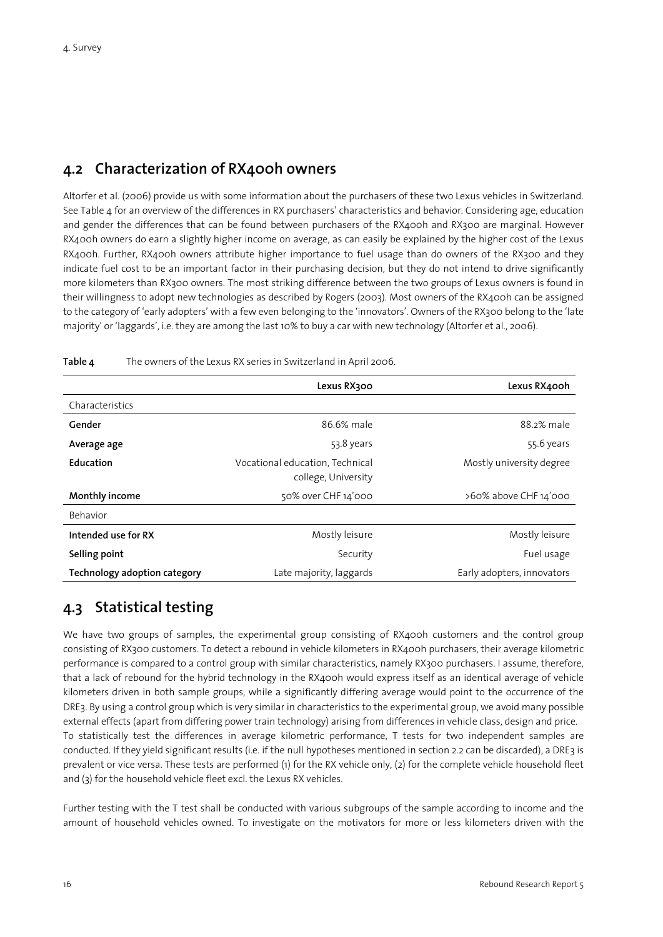### **4.2 Characterization of RX400h owners**

Altorfer et al. (2006) provide us with some information about the purchasers of these two Lexus vehicles in Switzerland. See Table 4 for an overview of the differences in RX purchasers' characteristics and behavior. Considering age, education and gender the differences that can be found between purchasers of the RX400h and RX300 are marginal. However RX400h owners do earn a slightly higher income on average, as can easily be explained by the higher cost of the Lexus RX400h. Further, RX400h owners attribute higher importance to fuel usage than do owners of the RX300 and they indicate fuel cost to be an important factor in their purchasing decision, but they do not intend to drive significantly more kilometers than RX300 owners. The most striking difference between the two groups of Lexus owners is found in their willingness to adopt new technologies as described by Rogers (2003). Most owners of the RX400h can be assigned to the category of 'early adopters' with a few even belonging to the 'innovators'. Owners of the RX300 belong to the 'late majority' or 'laggards', i.e. they are among the last 10% to buy a car with new technology (Altorfer et al., 2006).

|                              | Lexus RX300                                            | Lexus RX400h               |
|------------------------------|--------------------------------------------------------|----------------------------|
| Characteristics              |                                                        |                            |
| Gender                       | 86.6% male                                             | 88.2% male                 |
| Average age                  | 53.8 years                                             | 55.6 years                 |
| Education                    | Vocational education, Technical<br>college, University | Mostly university degree   |
| Monthly income               | 50% over CHF 14'000                                    | >60% above CHF 14'000      |
| Behavior                     |                                                        |                            |
| Intended use for RX          | Mostly leisure                                         | Mostly leisure             |
| Selling point                | Security                                               | Fuel usage                 |
| Technology adoption category | Late majority, laggards                                | Early adopters, innovators |

**Table 4** The owners of the Lexus RX series in Switzerland in April 2006.

### **4.3 Statistical testing**

We have two groups of samples, the experimental group consisting of RX400h customers and the control group consisting of RX300 customers. To detect a rebound in vehicle kilometers in RX400h purchasers, their average kilometric performance is compared to a control group with similar characteristics, namely RX300 purchasers. I assume, therefore, that a lack of rebound for the hybrid technology in the RX400h would express itself as an identical average of vehicle kilometers driven in both sample groups, while a significantly differing average would point to the occurrence of the DRE3. By using a control group which is very similar in characteristics to the experimental group, we avoid many possible external effects (apart from differing power train technology) arising from differences in vehicle class, design and price. To statistically test the differences in average kilometric performance, T tests for two independent samples are conducted. If they yield significant results (i.e. if the null hypotheses mentioned in section 2.2 can be discarded), a DRE3 is prevalent or vice versa. These tests are performed (1) for the RX vehicle only, (2) for the complete vehicle household fleet and (3) for the household vehicle fleet excl. the Lexus RX vehicles.

Further testing with the T test shall be conducted with various subgroups of the sample according to income and the amount of household vehicles owned. To investigate on the motivators for more or less kilometers driven with the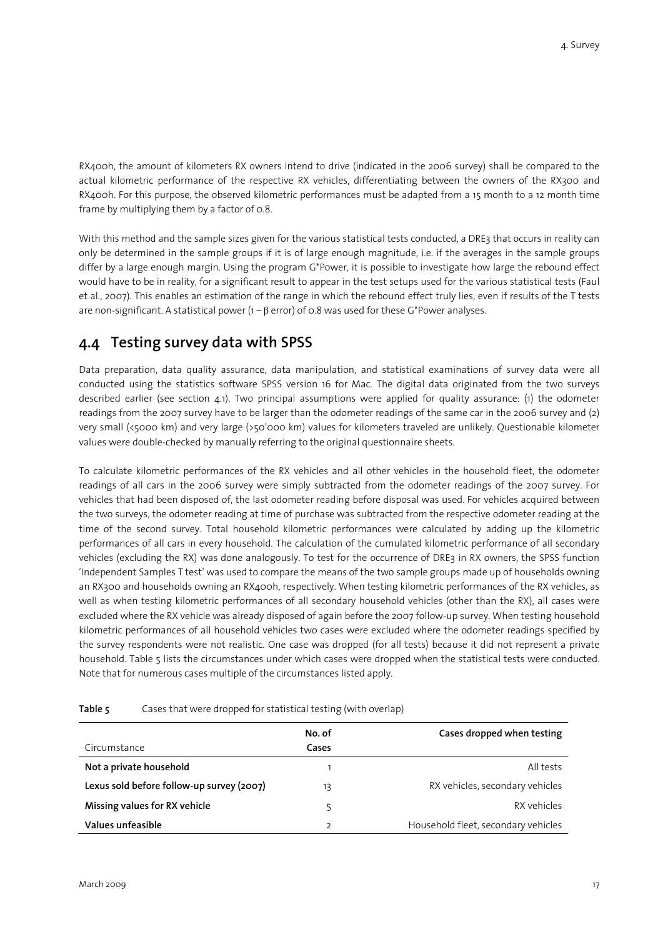RX400h, the amount of kilometers RX owners intend to drive (indicated in the 2006 survey) shall be compared to the actual kilometric performance of the respective RX vehicles, differentiating between the owners of the RX300 and RX400h. For this purpose, the observed kilometric performances must be adapted from a 15 month to a 12 month time frame by multiplying them by a factor of 0.8.

With this method and the sample sizes given for the various statistical tests conducted, a DRE3 that occurs in reality can only be determined in the sample groups if it is of large enough magnitude, i.e. if the averages in the sample groups differ by a large enough margin. Using the program G\*Power, it is possible to investigate how large the rebound effect would have to be in reality, for a significant result to appear in the test setups used for the various statistical tests (Faul et al., 2007). This enables an estimation of the range in which the rebound effect truly lies, even if results of the T tests are non-significant. A statistical power  $(1 - \beta$  error) of 0.8 was used for these G\*Power analyses.

## **4.4 Testing survey data with SPSS**

Data preparation, data quality assurance, data manipulation, and statistical examinations of survey data were all conducted using the statistics software SPSS version 16 for Mac. The digital data originated from the two surveys described earlier (see section 4.1). Two principal assumptions were applied for quality assurance: (1) the odometer readings from the 2007 survey have to be larger than the odometer readings of the same car in the 2006 survey and (2) very small (<5000 km) and very large (>50'000 km) values for kilometers traveled are unlikely. Questionable kilometer values were double-checked by manually referring to the original questionnaire sheets.

To calculate kilometric performances of the RX vehicles and all other vehicles in the household fleet, the odometer readings of all cars in the 2006 survey were simply subtracted from the odometer readings of the 2007 survey. For vehicles that had been disposed of, the last odometer reading before disposal was used. For vehicles acquired between the two surveys, the odometer reading at time of purchase was subtracted from the respective odometer reading at the time of the second survey. Total household kilometric performances were calculated by adding up the kilometric performances of all cars in every household. The calculation of the cumulated kilometric performance of all secondary vehicles (excluding the RX) was done analogously. To test for the occurrence of DRE3 in RX owners, the SPSS function 'Independent Samples T test' was used to compare the means of the two sample groups made up of households owning an RX300 and households owning an RX400h, respectively. When testing kilometric performances of the RX vehicles, as well as when testing kilometric performances of all secondary household vehicles (other than the RX), all cases were excluded where the RX vehicle was already disposed of again before the 2007 follow-up survey. When testing household kilometric performances of all household vehicles two cases were excluded where the odometer readings specified by the survey respondents were not realistic. One case was dropped (for all tests) because it did not represent a private household. Table 5 lists the circumstances under which cases were dropped when the statistical tests were conducted. Note that for numerous cases multiple of the circumstances listed apply.

|                                           | No. of | Cases dropped when testing          |
|-------------------------------------------|--------|-------------------------------------|
| Circumstance                              | Cases  |                                     |
| Not a private household                   |        | All tests                           |
| Lexus sold before follow-up survey (2007) | 13     | RX vehicles, secondary vehicles     |
| Missing values for RX vehicle             |        | RX vehicles                         |
| Values unfeasible                         | 2      | Household fleet, secondary vehicles |

| Table 5 | Cases that were dropped for statistical testing (with overlap) |  |
|---------|----------------------------------------------------------------|--|
|         |                                                                |  |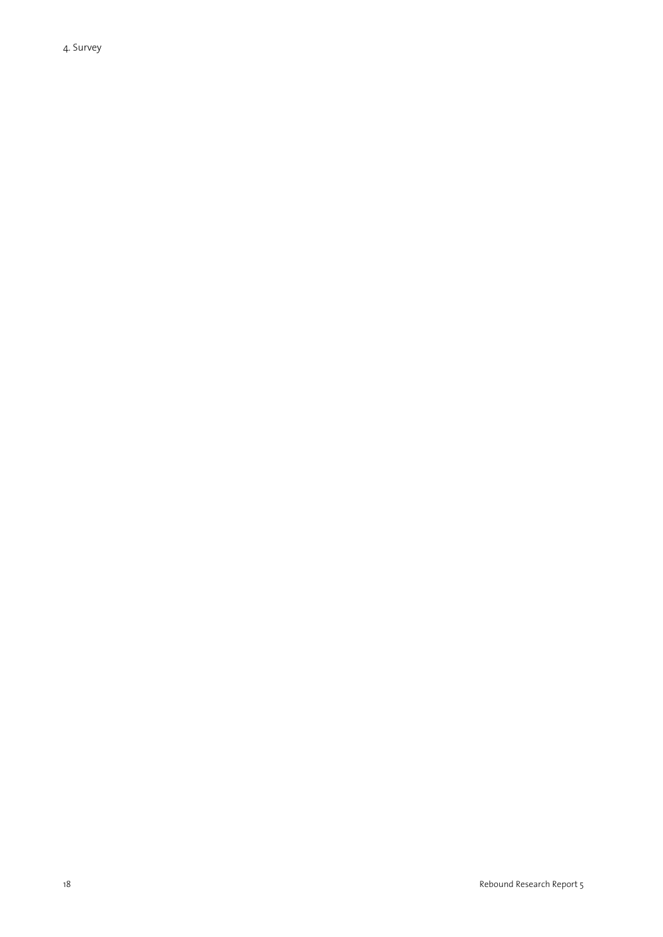4. Survey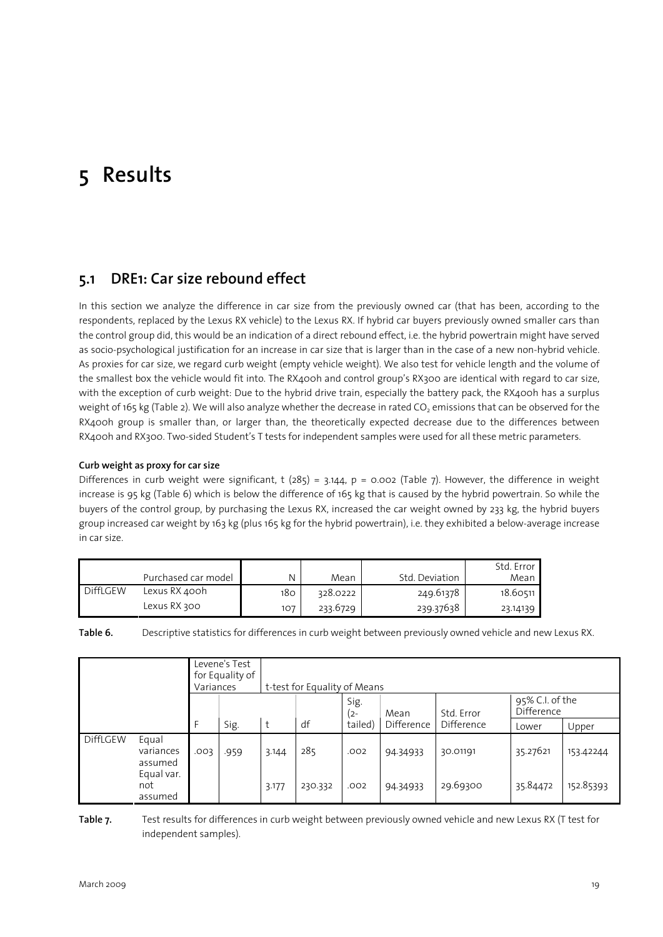## **5 Results**

### **5.1 DRE1: Car size rebound effect**

In this section we analyze the difference in car size from the previously owned car (that has been, according to the respondents, replaced by the Lexus RX vehicle) to the Lexus RX. If hybrid car buyers previously owned smaller cars than the control group did, this would be an indication of a direct rebound effect, i.e. the hybrid powertrain might have served as socio-psychological justification for an increase in car size that is larger than in the case of a new non-hybrid vehicle. As proxies for car size, we regard curb weight (empty vehicle weight). We also test for vehicle length and the volume of the smallest box the vehicle would fit into. The RX400h and control group's RX300 are identical with regard to car size, with the exception of curb weight: Due to the hybrid drive train, especially the battery pack, the RX400h has a surplus weight of 165 kg (Table 2). We will also analyze whether the decrease in rated CO<sub>2</sub> emissions that can be observed for the RX400h group is smaller than, or larger than, the theoretically expected decrease due to the differences between RX400h and RX300. Two-sided Student's T tests for independent samples were used for all these metric parameters.

#### **Curb weight as proxy for car size**

Differences in curb weight were significant, t (285) = 3.144,  $p = 0.002$  (Table 7). However, the difference in weight increase is 95 kg (Table 6) which is below the difference of 165 kg that is caused by the hybrid powertrain. So while the buyers of the control group, by purchasing the Lexus RX, increased the car weight owned by 233 kg, the hybrid buyers group increased car weight by 163 kg (plus 165 kg for the hybrid powertrain), i.e. they exhibited a below-average increase in car size.

|                 | Purchased car model | N   | Mean     | Std. Deviation | Std. Error<br>Mean |
|-----------------|---------------------|-----|----------|----------------|--------------------|
| <b>DiffLGEW</b> | Lexus RX 400h       | 180 | 328.0222 | 249.61378      | 18.60511           |
|                 | Lexus RX 300        | 107 | 233.6729 | 239.37638      | 23.14139           |

**Table 6.** Descriptive statistics for differences in curb weight between previously owned vehicle and new Lexus RX.

| Levene's Test<br>for Equality of<br>Variances |                               |      |      |       | t-test for Equality of Means |                |            |            |                               |           |
|-----------------------------------------------|-------------------------------|------|------|-------|------------------------------|----------------|------------|------------|-------------------------------|-----------|
|                                               |                               |      |      |       |                              | Sig.<br>$(2 -$ | Mean       | Std. Error | 95% C.I. of the<br>Difference |           |
|                                               |                               | F    | Sig. | ι     | df                           | tailed)        | Difference | Difference | Lower                         | Upper     |
| DiffLGEW                                      | Equal<br>variances<br>assumed | .003 | .959 | 3.144 | 285                          | .002           | 94.34933   | 30.01191   | 35.27621                      | 153.42244 |
|                                               | Equal var.<br>not<br>assumed  |      |      | 3.177 | 230.332                      | .002           | 94.34933   | 29.69300   | 35.84472                      | 152.85393 |

**Table 7.** Test results for differences in curb weight between previously owned vehicle and new Lexus RX (T test for independent samples).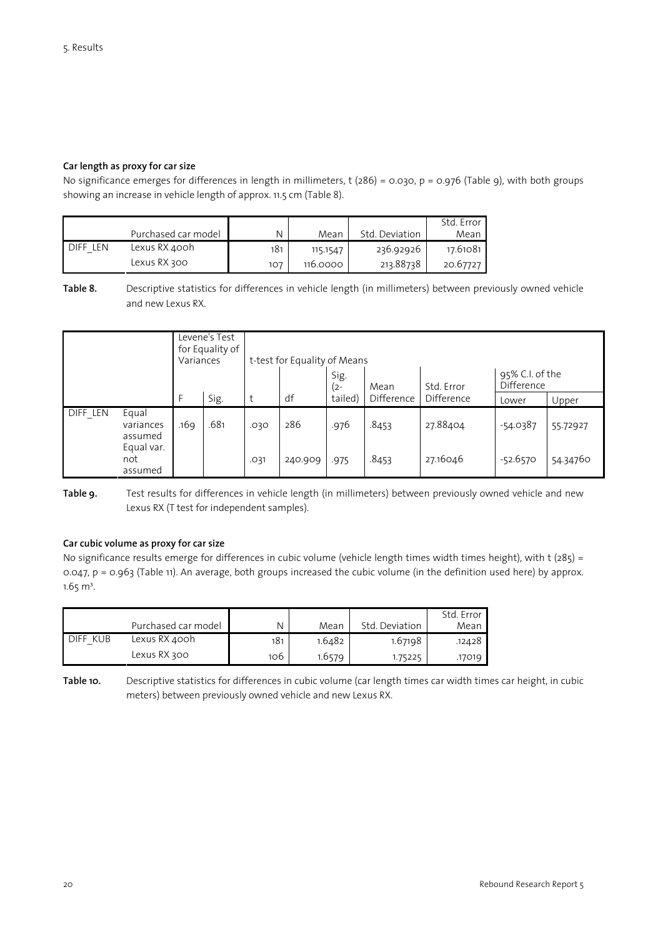#### **Car length as proxy for car size**

No significance emerges for differences in length in millimeters,  $t$  (286) = 0.030, p = 0.976 (Table 9), with both groups showing an increase in vehicle length of approx. 11.5 cm (Table 8).

|          | Purchased car model | N   | Mean     | Std. Deviation | Std. Error<br>Mean |
|----------|---------------------|-----|----------|----------------|--------------------|
| DIFF LEN | Lexus RX 400h       | 181 | 115.1547 | 236.92926      | 17.61081           |
|          | Lexus RX 300        | 107 | 116.0000 | 213.88738      | 20.67727           |

**Table 8.** Descriptive statistics for differences in vehicle length (in millimeters) between previously owned vehicle and new Lexus RX.

| Levene's Test<br>for Equality of<br>Variances |                               |      |      |      | t-test for Equality of Means |                |            |            |                               |          |  |
|-----------------------------------------------|-------------------------------|------|------|------|------------------------------|----------------|------------|------------|-------------------------------|----------|--|
|                                               |                               |      |      |      |                              | Sig.<br>$(2 -$ | Mean       | Std. Error | 95% C.I. of the<br>Difference |          |  |
|                                               |                               | F    | Sig. | t    | df                           | tailed)        | Difference | Difference | Lower                         | Upper    |  |
| DIFF LEN                                      | Equal<br>variances<br>assumed | .169 | .681 | .030 | 286                          | .976           | .8453      | 27.88404   | $-54.0387$                    | 55.72927 |  |
|                                               | Equal var.<br>not<br>assumed  |      |      | .031 | 240.909                      | .975           | .8453      | 27.16046   | $-52.6570$                    | 54.34760 |  |

**Table 9.** Test results for differences in vehicle length (in millimeters) between previously owned vehicle and new Lexus RX (T test for independent samples).

#### **Car cubic volume as proxy for car size**

No significance results emerge for differences in cubic volume (vehicle length times width times height), with t (285) = 0.047, p = 0.963 (Table 11). An average, both groups increased the cubic volume (in the definition used here) by approx.  $1.65 \text{ m}^3$ .

|          | Purchased car model | Ν   | Mean   | Std. Deviation | Std. Error<br>Mean |
|----------|---------------------|-----|--------|----------------|--------------------|
| DIFF KUB | Lexus RX 400h       | 181 | 1.6482 | 1.67198        | .12428             |
|          | Lexus RX 300        | 106 | 1.6579 | 1.75225        | .17019             |

**Table 10.** Descriptive statistics for differences in cubic volume (car length times car width times car height, in cubic meters) between previously owned vehicle and new Lexus RX.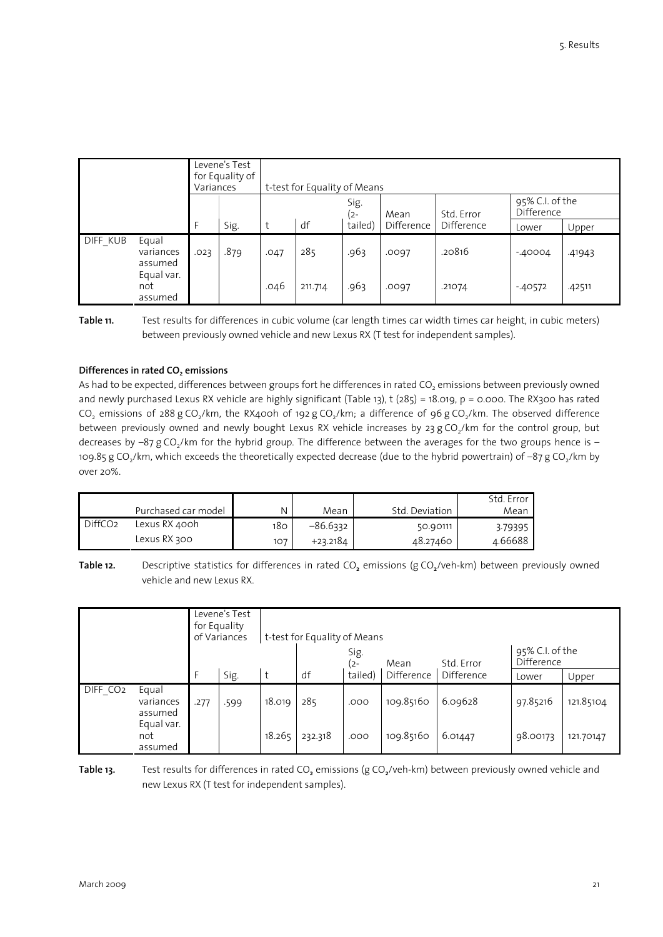|          |                               | Variances | Levene's Test<br>for Equality of |      | t-test for Equality of Means |                |            |            |                               |        |
|----------|-------------------------------|-----------|----------------------------------|------|------------------------------|----------------|------------|------------|-------------------------------|--------|
|          |                               |           |                                  |      |                              | Sig.<br>$(2 -$ | Mean       | Std. Error | 95% C.I. of the<br>Difference |        |
|          |                               | F         | Sig.                             |      | df                           | tailed)        | Difference | Difference | Lower                         | Upper  |
| DIFF KUB | Equal<br>variances<br>assumed | .023      | .879                             | .047 | 285                          | .963           | .0097      | .20816     | $-40004$                      | .41943 |
|          | Equal var.<br>not<br>assumed  |           |                                  | .046 | 211.714                      | .963           | .0097      | .21074     | $-40572$                      | .42511 |

Table 11. Test results for differences in cubic volume (car length times car width times car height, in cubic meters) between previously owned vehicle and new Lexus RX (T test for independent samples).

#### **Differences in rated CO<sub>2</sub> emissions**

As had to be expected, differences between groups fort he differences in rated CO<sub>2</sub> emissions between previously owned and newly purchased Lexus RX vehicle are highly significant (Table 13), t (285) = 18.019, p = 0.000. The RX300 has rated CO<sub>2</sub> emissions of 288 g CO<sub>2</sub>/km, the RX400h of 192 g CO<sub>2</sub>/km; a difference of 96 g CO<sub>2</sub>/km. The observed difference between previously owned and newly bought Lexus RX vehicle increases by 23 g CO<sub>2</sub>/km for the control group, but decreases by  $-87$  g CO<sub>2</sub>/km for the hybrid group. The difference between the averages for the two groups hence is – 109.85 g CO<sub>2</sub>/km, which exceeds the theoretically expected decrease (due to the hybrid powertrain) of -87 g CO<sub>2</sub>/km by over 20%.

|                     | Purchased car model |     | Mean       | Std. Deviation | Std. Error<br>Mean |
|---------------------|---------------------|-----|------------|----------------|--------------------|
| DiffCO <sub>2</sub> | Lexus RX 400h       | 180 | $-86.6332$ | 50.90111       | 3.79395            |
|                     | Lexus RX २००        | 107 | $+23.2184$ | 48.27460       | 4.66688            |

Table 12. Descriptive statistics for differences in rated CO<sub>2</sub> emissions (g CO<sub>2</sub>/veh-km) between previously owned vehicle and new Lexus RX.

| Levene's Test<br>for Equality<br>of Variances |                               |      |      |        | t-test for Equality of Means |                |            |            |                               |           |  |
|-----------------------------------------------|-------------------------------|------|------|--------|------------------------------|----------------|------------|------------|-------------------------------|-----------|--|
|                                               |                               |      |      |        |                              | Sig.<br>$(2 -$ | Mean       | Std. Error | 95% C.I. of the<br>Difference |           |  |
|                                               |                               | F    | Sig. |        | df                           | tailed)        | Difference | Difference | Lower                         | Upper     |  |
| DIFF CO <sub>2</sub>                          | Equal<br>variances<br>assumed | .277 | .599 | 18.019 | 285                          | .000           | 109.85160  | 6.09628    | 97.85216                      | 121.85104 |  |
|                                               | Equal var.<br>not<br>assumed  |      |      | 18.265 | 232.318                      | .000           | 109.85160  | 6.01447    | 98.00173                      | 121.70147 |  |

**Table 13.** Test results for differences in rated CO**2** emissions (g CO**2**/veh-km) between previously owned vehicle and new Lexus RX (T test for independent samples).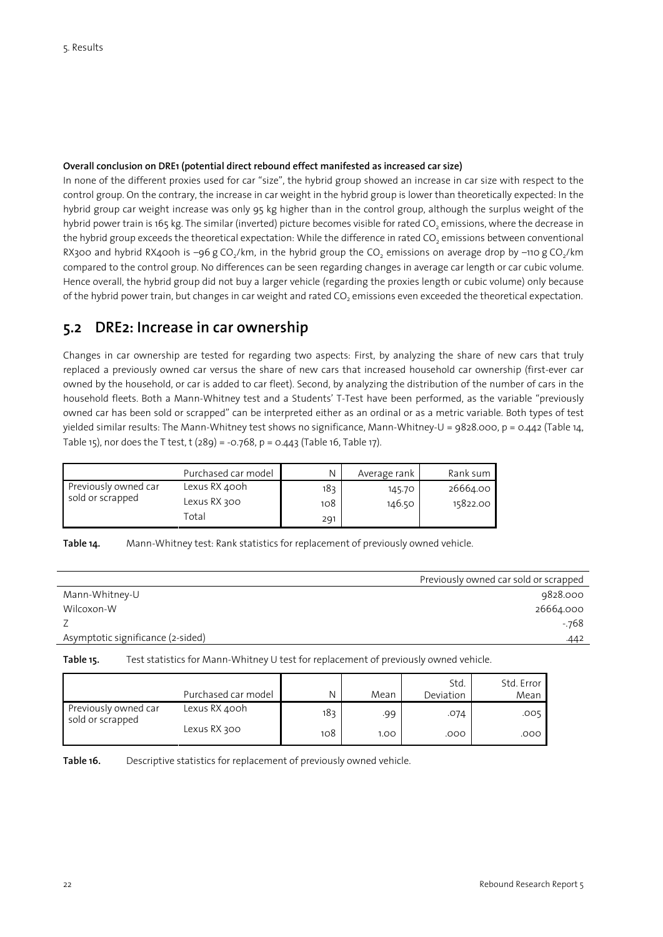#### **Overall conclusion on DRE1 (potential direct rebound effect manifested as increased car size)**

In none of the different proxies used for car "size", the hybrid group showed an increase in car size with respect to the control group. On the contrary, the increase in car weight in the hybrid group is lower than theoretically expected: In the hybrid group car weight increase was only 95 kg higher than in the control group, although the surplus weight of the hybrid power train is 165 kg. The similar (inverted) picture becomes visible for rated CO<sub>2</sub> emissions, where the decrease in the hybrid group exceeds the theoretical expectation: While the difference in rated CO<sub>2</sub> emissions between conventional RX300 and hybrid RX400h is  $-96 g CO$ ,/km, in the hybrid group the CO<sub>2</sub> emissions on average drop by –110 g CO<sub>2</sub>/km compared to the control group. No differences can be seen regarding changes in average car length or car cubic volume. Hence overall, the hybrid group did not buy a larger vehicle (regarding the proxies length or cubic volume) only because of the hybrid power train, but changes in car weight and rated CO<sub>2</sub> emissions even exceeded the theoretical expectation.

### **5.2 DRE2: Increase in car ownership**

Changes in car ownership are tested for regarding two aspects: First, by analyzing the share of new cars that truly replaced a previously owned car versus the share of new cars that increased household car ownership (first-ever car owned by the household, or car is added to car fleet). Second, by analyzing the distribution of the number of cars in the household fleets. Both a Mann-Whitney test and a Students' T-Test have been performed, as the variable "previously owned car has been sold or scrapped" can be interpreted either as an ordinal or as a metric variable. Both types of test yielded similar results: The Mann-Whitney test shows no significance, Mann-Whitney-U = 9828.000, p = 0.442 (Table 14, Table 15), nor does the T test, t  $(289) = -0.768$ , p = 0.443 (Table 16, Table 17).

|                      | Purchased car model | N   | Average rank | Rank sum |
|----------------------|---------------------|-----|--------------|----------|
| Previously owned car | Lexus RX 400h       | 183 | 145.70       | 26664.00 |
| sold or scrapped     | Lexus RX 300        | 108 | 146.50       | 15822.00 |
|                      | Гotal               | 291 |              |          |

**Table 14.** Mann-Whitney test: Rank statistics for replacement of previously owned vehicle.

|                                   | Previously owned car sold or scrapped |
|-----------------------------------|---------------------------------------|
| Mann-Whitney-U                    | 9828.000                              |
| Wilcoxon-W                        | 26664.000                             |
|                                   | -.768                                 |
| Asymptotic significance (2-sided) | .442                                  |
|                                   |                                       |

**Table 15.** Test statistics for Mann-Whitney U test for replacement of previously owned vehicle.

|                                          | Purchased car model |     | Mean | Std<br>Deviation | Std. Error<br>Mean |
|------------------------------------------|---------------------|-----|------|------------------|--------------------|
| Previously owned car<br>sold or scrapped | Lexus RX 400h       | 18ว | .99  | .074             | .005               |
|                                          | Lexus RX 300        | 108 | 1.00 | .000             | .000               |

**Table 16.** Descriptive statistics for replacement of previously owned vehicle.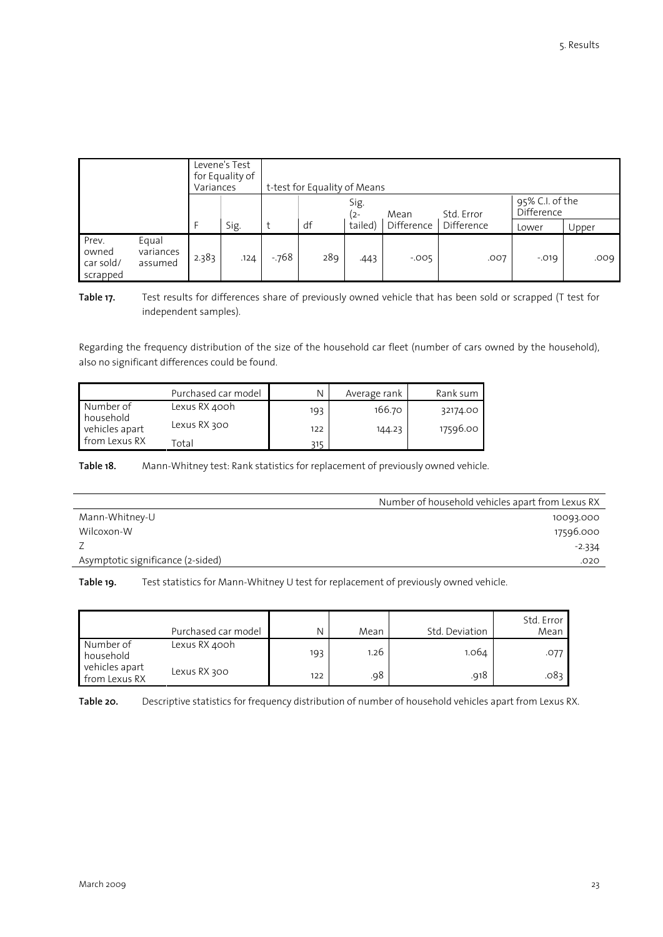|                                         |                               | Variances | Levene's Test<br>for Equality of |        | t-test for Equality of Means |                        |                    |                          |                                        |       |  |
|-----------------------------------------|-------------------------------|-----------|----------------------------------|--------|------------------------------|------------------------|--------------------|--------------------------|----------------------------------------|-------|--|
|                                         |                               | F         | Sig.                             | t      | df                           | Sig.<br>(2-<br>tailed) | Mean<br>Difference | Std. Error<br>Difference | 95% C.I. of the<br>Difference<br>Lower | Upper |  |
| Prev.<br>owned<br>car sold/<br>scrapped | Equal<br>variances<br>assumed | 2.383     | .124                             | $-768$ | 289                          | $-443$                 | $-005$             | .007                     | $-.019$                                | ,009  |  |

**Table 17.** Test results for differences share of previously owned vehicle that has been sold or scrapped (T test for independent samples).

Regarding the frequency distribution of the size of the household car fleet (number of cars owned by the household), also no significant differences could be found.

|                              | Purchased car model | Ν   | Average rank | Rank sum |
|------------------------------|---------------------|-----|--------------|----------|
| Number of<br>household       | Lexus RX 400h       | 193 | 166.70       | 32174.00 |
| vehicles apart               | Lexus RX 300        | 122 | 144.23       | 17596.00 |
| $\blacksquare$ from Lexus RX | otal.               | 315 |              |          |

**Table 18.** Mann-Whitney test: Rank statistics for replacement of previously owned vehicle.

|                                   | Number of household vehicles apart from Lexus RX |
|-----------------------------------|--------------------------------------------------|
| Mann-Whitney-U                    | 10093.000                                        |
| Wilcoxon-W                        | 17596.000                                        |
|                                   | $-2.334$                                         |
| Asymptotic significance (2-sided) | .020                                             |

**Table 19.** Test statistics for Mann-Whitney U test for replacement of previously owned vehicle.

|                                 | Purchased car model |     | Mean | Std. Deviation | Std. Error<br>Mean |
|---------------------------------|---------------------|-----|------|----------------|--------------------|
| Number of<br>household          | Lexus RX 400h       | 193 | 1.26 | 1.064          | .077               |
| vehicles apart<br>from Lexus RX | Lexus RX 300        | 122 | .98  | .918           | .083               |

**Table 20.** Descriptive statistics for frequency distribution of number of household vehicles apart from Lexus RX.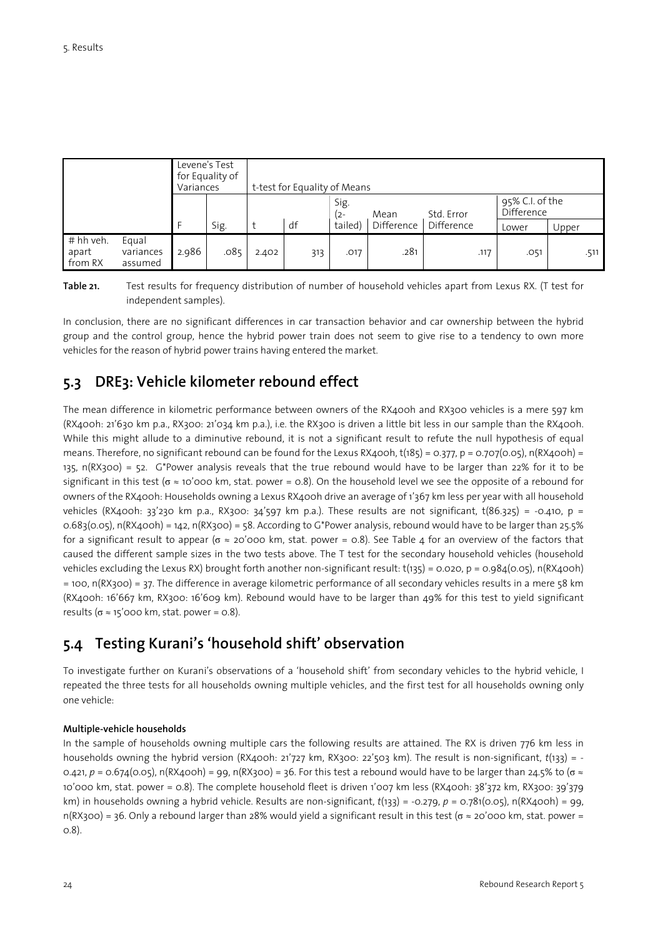|                               |                               | Variances | Levene's Test<br>for Equality of |       | t-test for Equality of Means |                |            |            |                                      |       |
|-------------------------------|-------------------------------|-----------|----------------------------------|-------|------------------------------|----------------|------------|------------|--------------------------------------|-------|
|                               |                               |           |                                  |       |                              | Sig.<br>$(2 -$ | Mean       | Std. Error | 95% C.I. of the<br><b>Difference</b> |       |
|                               |                               |           | Sig.                             | t     | df                           | tailed)        | Difference | Difference | Lower                                | Upper |
| # hh veh.<br>apart<br>from RX | Equal<br>variances<br>assumed | 2.986     | .085                             | 2.402 | 313                          | .017           | .281       | .117       | .051                                 | .511  |

**Table 21.** Test results for frequency distribution of number of household vehicles apart from Lexus RX. (T test for independent samples).

In conclusion, there are no significant differences in car transaction behavior and car ownership between the hybrid group and the control group, hence the hybrid power train does not seem to give rise to a tendency to own more vehicles for the reason of hybrid power trains having entered the market.

## **5.3 DRE3: Vehicle kilometer rebound effect**

The mean difference in kilometric performance between owners of the RX400h and RX300 vehicles is a mere 597 km (RX400h: 21'630 km p.a., RX300: 21'034 km p.a.), i.e. the RX300 is driven a little bit less in our sample than the RX400h. While this might allude to a diminutive rebound, it is not a significant result to refute the null hypothesis of equal means. Therefore, no significant rebound can be found for the Lexus RX400h,  $t(185) = 0.377$ ,  $p = 0.707(0.05)$ , n(RX400h) = 135, n(RX300) = 52. G\*Power analysis reveals that the true rebound would have to be larger than 22% for it to be significant in this test ( $\sigma \approx 10'$ 000 km, stat. power = 0.8). On the household level we see the opposite of a rebound for owners of the RX400h: Households owning a Lexus RX400h drive an average of 1'367 km less per year with all household vehicles (RX400h: 33'230 km p.a., RX300: 34'597 km p.a.). These results are not significant,  $t(86.325) = -0.410$ , p =  $0.683(0.05)$ , n(RX400h) = 142, n(RX300) = 58. According to G\*Power analysis, rebound would have to be larger than 25.5% for a significant result to appear (σ  $\approx$  20'000 km, stat. power = 0.8). See Table 4 for an overview of the factors that caused the different sample sizes in the two tests above. The T test for the secondary household vehicles (household vehicles excluding the Lexus RX) brought forth another non-significant result:  $t(135) = 0.020$ ,  $p = 0.984(0.05)$ , n(RX400h) = 100, n(RX300) = 37. The difference in average kilometric performance of all secondary vehicles results in a mere 58 km (RX400h: 16'667 km, RX300: 16'609 km). Rebound would have to be larger than 49% for this test to yield significant results ( $\sigma \approx 15'$ 000 km, stat. power = 0.8).

### **5.4 Testing Kurani's 'household shift' observation**

To investigate further on Kurani's observations of a 'household shift' from secondary vehicles to the hybrid vehicle, I repeated the three tests for all households owning multiple vehicles, and the first test for all households owning only one vehicle:

#### **Multiple-vehicle households**

In the sample of households owning multiple cars the following results are attained. The RX is driven 776 km less in households owning the hybrid version (RX400h: 21'727 km, RX300: 22'503 km). The result is non-significant, *t*(133) = - 0.421, *p* = 0.674(0.05), n(RX400h) = 99, n(RX300) = 36. For this test a rebound would have to be larger than 24.5% to (σ ≈ 10'000 km, stat. power = 0.8). The complete household fleet is driven 1'007 km less (RX400h: 38'372 km, RX300: 39'379 km) in households owning a hybrid vehicle. Results are non-significant, *t*(133) = -0.279, *p* = 0.781(0.05), n(RX400h) = 99, n(RX300) = 36. Only a rebound larger than 28% would yield a significant result in this test ( $\sigma \approx$  20'000 km, stat. power = 0.8).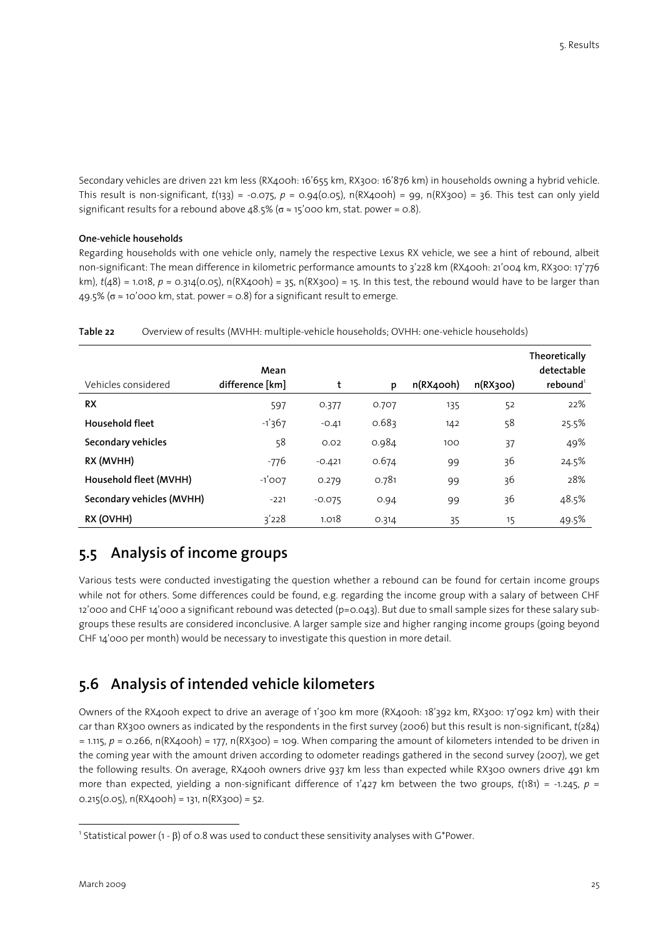Secondary vehicles are driven 221 km less (RX400h: 16'655 km, RX300: 16'876 km) in households owning a hybrid vehicle. This result is non-significant, *t*(133) = -0.075, *p* = 0.94(0.05), n(RX400h) = 99, n(RX300) = 36. This test can only yield significant results for a rebound above  $48.5\%$  ( $\sigma \approx 15'$ 000 km, stat. power = 0.8).

#### **One-vehicle households**

Regarding households with one vehicle only, namely the respective Lexus RX vehicle, we see a hint of rebound, albeit non-significant: The mean difference in kilometric performance amounts to 3'228 km (RX400h: 21'004 km, RX300: 17'776 km),  $t(48) = 1.018$ ,  $p = 0.314(0.05)$ ,  $n(RX400h) = 35$ ,  $n(RX300) = 15$ . In this test, the rebound would have to be larger than 49.5% ( $\sigma$   $\approx$  10'000 km, stat. power = 0.8) for a significant result to emerge.

| Vehicles considered       | Mean<br>difference [km] | t        | p     | n(RX400h) | n(RX300) | Theoretically<br>detectable<br>rebound <sup>1</sup> |
|---------------------------|-------------------------|----------|-------|-----------|----------|-----------------------------------------------------|
| <b>RX</b>                 | 597                     | 0.377    | 0.707 | 135       | 52       | 22%                                                 |
| <b>Household fleet</b>    | $-1'367$                | $-0.41$  | 0.683 | 142       | 58       | 25.5%                                               |
| Secondary vehicles        | 58                      | 0.02     | 0.984 | 100       | 37       | 49%                                                 |
| RX (MVHH)                 | $-776$                  | $-0.421$ | 0.674 | 99        | 36       | 24.5%                                               |
| Household fleet (MVHH)    | $-1'$ 007               | 0.279    | 0.781 | 99        | 36       | 28%                                                 |
| Secondary vehicles (MVHH) | $-221$                  | $-0.075$ | 0.94  | 99        | 36       | 48.5%                                               |
| RX (OVHH)                 | 3'228                   | 1.018    | 0.314 | 35        | 15       | 49.5%                                               |

| Table 22 | Overview of results (MVHH: multiple-vehicle households: OVHH: one-vehicle households) |  |  |  |  |  |
|----------|---------------------------------------------------------------------------------------|--|--|--|--|--|
|----------|---------------------------------------------------------------------------------------|--|--|--|--|--|

### **5.5 Analysis of income groups**

Various tests were conducted investigating the question whether a rebound can be found for certain income groups while not for others. Some differences could be found, e.g. regarding the income group with a salary of between CHF 12'000 and CHF 14'000 a significant rebound was detected (p=0.043). But due to small sample sizes for these salary subgroups these results are considered inconclusive. A larger sample size and higher ranging income groups (going beyond CHF 14'000 per month) would be necessary to investigate this question in more detail.

## **5.6 Analysis of intended vehicle kilometers**

Owners of the RX400h expect to drive an average of 1'300 km more (RX400h: 18'392 km, RX300: 17'092 km) with their car than RX300 owners as indicated by the respondents in the first survey (2006) but this result is non-significant, *t*(284)  $= 1.115$ ,  $p = 0.266$ ,  $n(RX400h) = 177$ ,  $n(RX300) = 109$ . When comparing the amount of kilometers intended to be driven in the coming year with the amount driven according to odometer readings gathered in the second survey (2007), we get the following results. On average, RX400h owners drive 937 km less than expected while RX300 owners drive 491 km more than expected, yielding a non-significant difference of 1'427 km between the two groups,  $t(181) = -1.245$ ,  $p =$  $0.215(0.05)$ ,  $n(RX400h) = 131$ ,  $n(RX300) = 52$ .

1

<sup>&</sup>lt;sup>1</sup> Statistical power (1 - β) of 0.8 was used to conduct these sensitivity analyses with G\*Power.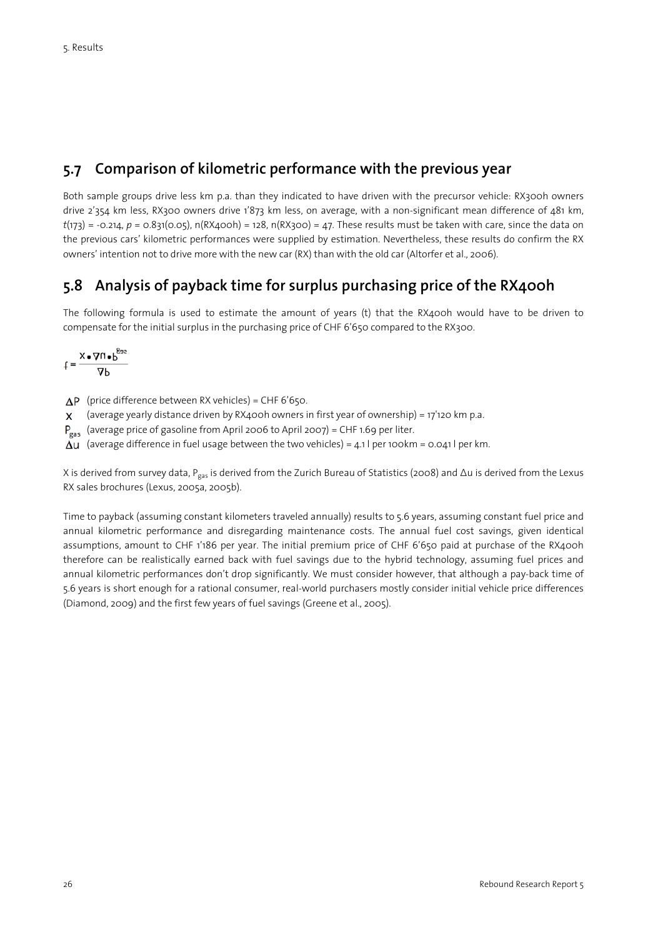### **5.7 Comparison of kilometric performance with the previous year**

Both sample groups drive less km p.a. than they indicated to have driven with the precursor vehicle: RX300h owners drive 2'354 km less, RX300 owners drive 1'873 km less, on average, with a non-significant mean difference of 481 km, *t*(173) = -0.214, *p* = 0.831(0.05), n(RX400h) = 128, n(RX300) = 47. These results must be taken with care, since the data on the previous cars' kilometric performances were supplied by estimation. Nevertheless, these results do confirm the RX owners' intention not to drive more with the new car (RX) than with the old car (Altorfer et al., 2006).

## **5.8 Analysis of payback time for surplus purchasing price of the RX400h**

The following formula is used to estimate the amount of years (t) that the RX400h would have to be driven to compensate for the initial surplus in the purchasing price of CHF 6'650 compared to the RX300.

$$
t = \frac{\Delta P}{x \cdot \Delta u \cdot P_{gas}}
$$

 $\Delta P$  (price difference between RX vehicles) = CHF 6'650.

 $x$  (average yearly distance driven by RX400h owners in first year of ownership) = 17'120 km p.a.

 $P_{gas}$  (average price of gasoline from April 2006 to April 2007) = CHF 1.69 per liter.

 $\overline{\Delta}$ u (average difference in fuel usage between the two vehicles) = 4.1 l per 100 km = 0.041 l per km.

X is derived from survey data, P<sub>gas</sub> is derived from the Zurich Bureau of Statistics (2008) and Δu is derived from the Lexus RX sales brochures (Lexus, 2005a, 2005b).

Time to payback (assuming constant kilometers traveled annually) results to 5.6 years, assuming constant fuel price and annual kilometric performance and disregarding maintenance costs. The annual fuel cost savings, given identical assumptions, amount to CHF 1'186 per year. The initial premium price of CHF 6'650 paid at purchase of the RX400h therefore can be realistically earned back with fuel savings due to the hybrid technology, assuming fuel prices and annual kilometric performances don't drop significantly. We must consider however, that although a pay-back time of 5.6 years is short enough for a rational consumer, real-world purchasers mostly consider initial vehicle price differences (Diamond, 2009) and the first few years of fuel savings (Greene et al., 2005).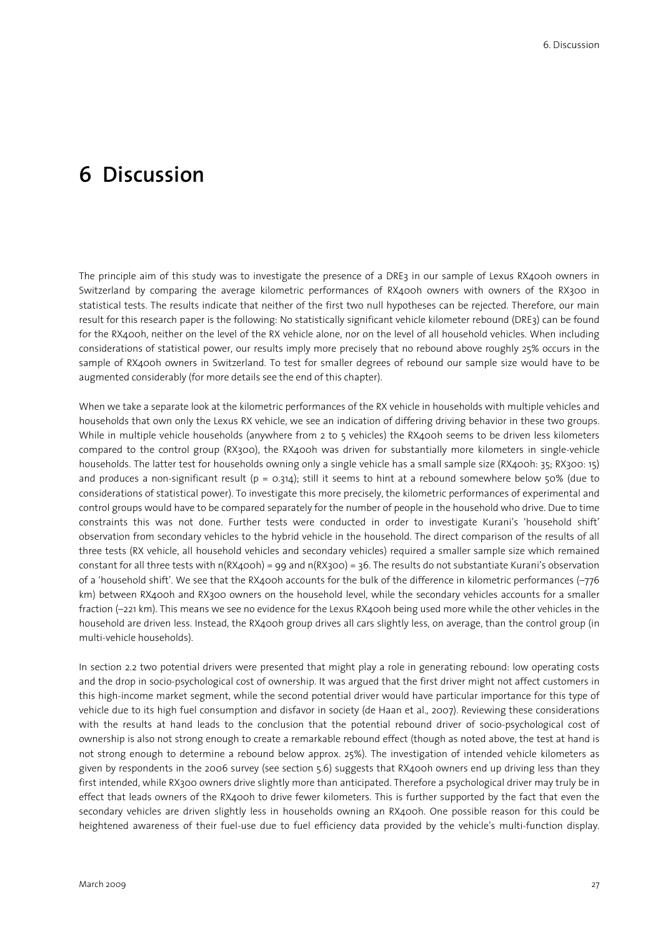## **6 Discussion**

The principle aim of this study was to investigate the presence of a DRE3 in our sample of Lexus RX400h owners in Switzerland by comparing the average kilometric performances of RX400h owners with owners of the RX300 in statistical tests. The results indicate that neither of the first two null hypotheses can be rejected. Therefore, our main result for this research paper is the following: No statistically significant vehicle kilometer rebound (DRE3) can be found for the RX400h, neither on the level of the RX vehicle alone, nor on the level of all household vehicles. When including considerations of statistical power, our results imply more precisely that no rebound above roughly 25% occurs in the sample of RX400h owners in Switzerland. To test for smaller degrees of rebound our sample size would have to be augmented considerably (for more details see the end of this chapter).

When we take a separate look at the kilometric performances of the RX vehicle in households with multiple vehicles and households that own only the Lexus RX vehicle, we see an indication of differing driving behavior in these two groups. While in multiple vehicle households (anywhere from 2 to 5 vehicles) the RX400h seems to be driven less kilometers compared to the control group (RX300), the RX400h was driven for substantially more kilometers in single-vehicle households. The latter test for households owning only a single vehicle has a small sample size (RX400h: 35; RX300: 15) and produces a non-significant result ( $p = 0.314$ ); still it seems to hint at a rebound somewhere below 50% (due to considerations of statistical power). To investigate this more precisely, the kilometric performances of experimental and control groups would have to be compared separately for the number of people in the household who drive. Due to time constraints this was not done. Further tests were conducted in order to investigate Kurani's 'household shift' observation from secondary vehicles to the hybrid vehicle in the household. The direct comparison of the results of all three tests (RX vehicle, all household vehicles and secondary vehicles) required a smaller sample size which remained constant for all three tests with  $n(RX400h) = 99$  and  $n(RX300) = 36$ . The results do not substantiate Kurani's observation of a 'household shift'. We see that the RX400h accounts for the bulk of the difference in kilometric performances (–776 km) between RX400h and RX300 owners on the household level, while the secondary vehicles accounts for a smaller fraction (–221 km). This means we see no evidence for the Lexus RX400h being used more while the other vehicles in the household are driven less. Instead, the RX400h group drives all cars slightly less, on average, than the control group (in multi-vehicle households).

In section 2.2 two potential drivers were presented that might play a role in generating rebound: low operating costs and the drop in socio-psychological cost of ownership. It was argued that the first driver might not affect customers in this high-income market segment, while the second potential driver would have particular importance for this type of vehicle due to its high fuel consumption and disfavor in society (de Haan et al., 2007). Reviewing these considerations with the results at hand leads to the conclusion that the potential rebound driver of socio-psychological cost of ownership is also not strong enough to create a remarkable rebound effect (though as noted above, the test at hand is not strong enough to determine a rebound below approx. 25%). The investigation of intended vehicle kilometers as given by respondents in the 2006 survey (see section 5.6) suggests that RX400h owners end up driving less than they first intended, while RX300 owners drive slightly more than anticipated. Therefore a psychological driver may truly be in effect that leads owners of the RX400h to drive fewer kilometers. This is further supported by the fact that even the secondary vehicles are driven slightly less in households owning an RX400h. One possible reason for this could be heightened awareness of their fuel-use due to fuel efficiency data provided by the vehicle's multi-function display.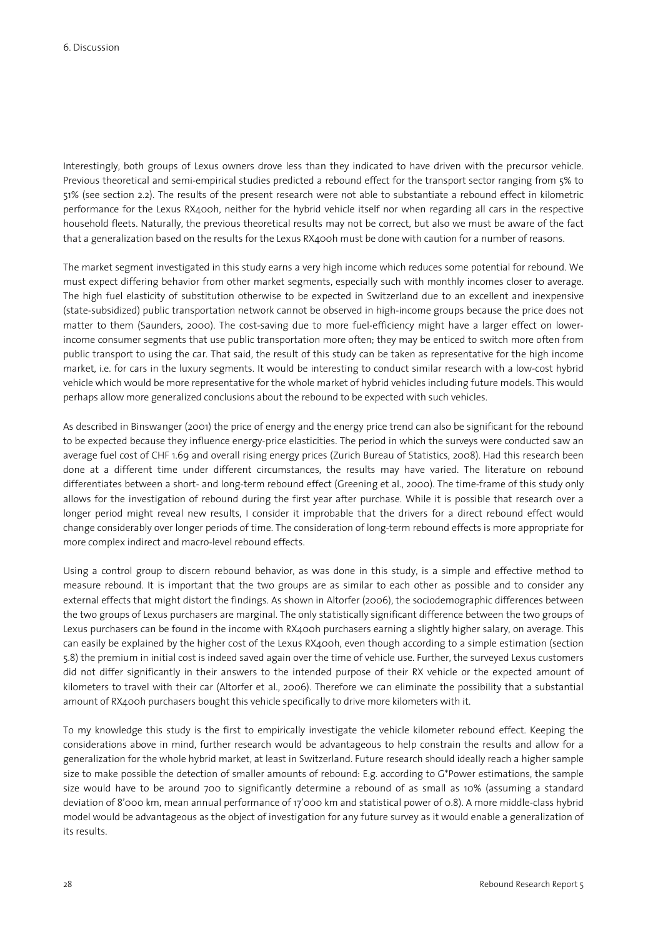Interestingly, both groups of Lexus owners drove less than they indicated to have driven with the precursor vehicle. Previous theoretical and semi-empirical studies predicted a rebound effect for the transport sector ranging from 5% to 51% (see section 2.2). The results of the present research were not able to substantiate a rebound effect in kilometric performance for the Lexus RX400h, neither for the hybrid vehicle itself nor when regarding all cars in the respective household fleets. Naturally, the previous theoretical results may not be correct, but also we must be aware of the fact that a generalization based on the results for the Lexus RX400h must be done with caution for a number of reasons.

The market segment investigated in this study earns a very high income which reduces some potential for rebound. We must expect differing behavior from other market segments, especially such with monthly incomes closer to average. The high fuel elasticity of substitution otherwise to be expected in Switzerland due to an excellent and inexpensive (state-subsidized) public transportation network cannot be observed in high-income groups because the price does not matter to them (Saunders, 2000). The cost-saving due to more fuel-efficiency might have a larger effect on lowerincome consumer segments that use public transportation more often; they may be enticed to switch more often from public transport to using the car. That said, the result of this study can be taken as representative for the high income market, i.e. for cars in the luxury segments. It would be interesting to conduct similar research with a low-cost hybrid vehicle which would be more representative for the whole market of hybrid vehicles including future models. This would perhaps allow more generalized conclusions about the rebound to be expected with such vehicles.

As described in Binswanger (2001) the price of energy and the energy price trend can also be significant for the rebound to be expected because they influence energy-price elasticities. The period in which the surveys were conducted saw an average fuel cost of CHF 1.69 and overall rising energy prices (Zurich Bureau of Statistics, 2008). Had this research been done at a different time under different circumstances, the results may have varied. The literature on rebound differentiates between a short- and long-term rebound effect (Greening et al., 2000). The time-frame of this study only allows for the investigation of rebound during the first year after purchase. While it is possible that research over a longer period might reveal new results, I consider it improbable that the drivers for a direct rebound effect would change considerably over longer periods of time. The consideration of long-term rebound effects is more appropriate for more complex indirect and macro-level rebound effects.

Using a control group to discern rebound behavior, as was done in this study, is a simple and effective method to measure rebound. It is important that the two groups are as similar to each other as possible and to consider any external effects that might distort the findings. As shown in Altorfer (2006), the sociodemographic differences between the two groups of Lexus purchasers are marginal. The only statistically significant difference between the two groups of Lexus purchasers can be found in the income with RX400h purchasers earning a slightly higher salary, on average. This can easily be explained by the higher cost of the Lexus RX400h, even though according to a simple estimation (section 5.8) the premium in initial cost is indeed saved again over the time of vehicle use. Further, the surveyed Lexus customers did not differ significantly in their answers to the intended purpose of their RX vehicle or the expected amount of kilometers to travel with their car (Altorfer et al., 2006). Therefore we can eliminate the possibility that a substantial amount of RX400h purchasers bought this vehicle specifically to drive more kilometers with it.

To my knowledge this study is the first to empirically investigate the vehicle kilometer rebound effect. Keeping the considerations above in mind, further research would be advantageous to help constrain the results and allow for a generalization for the whole hybrid market, at least in Switzerland. Future research should ideally reach a higher sample size to make possible the detection of smaller amounts of rebound: E.g. according to G\*Power estimations, the sample size would have to be around 700 to significantly determine a rebound of as small as 10% (assuming a standard deviation of 8'000 km, mean annual performance of 17'000 km and statistical power of 0.8). A more middle-class hybrid model would be advantageous as the object of investigation for any future survey as it would enable a generalization of its results.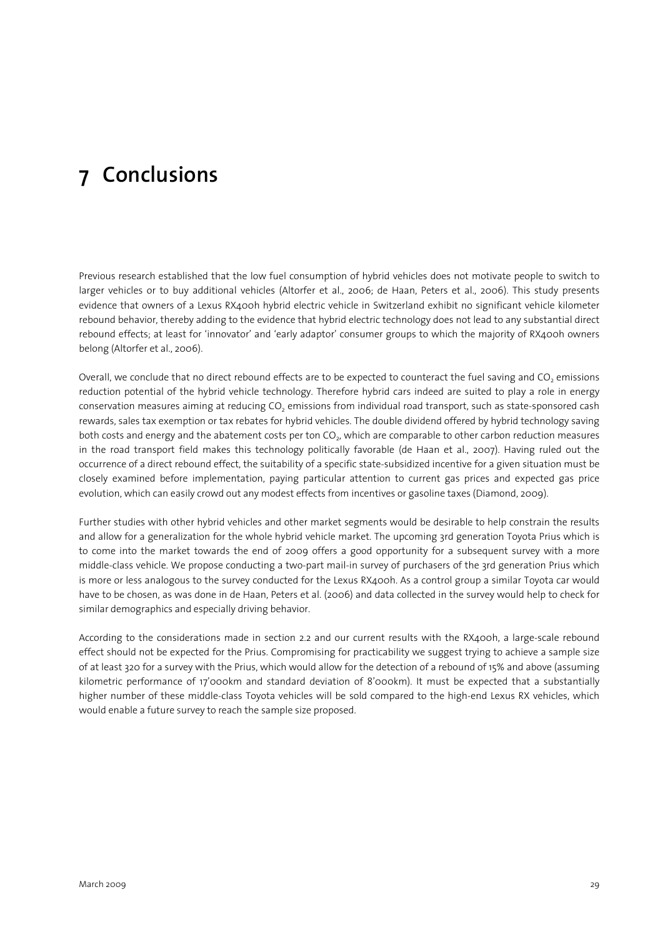## **7 Conclusions**

Previous research established that the low fuel consumption of hybrid vehicles does not motivate people to switch to larger vehicles or to buy additional vehicles (Altorfer et al., 2006; de Haan, Peters et al., 2006). This study presents evidence that owners of a Lexus RX400h hybrid electric vehicle in Switzerland exhibit no significant vehicle kilometer rebound behavior, thereby adding to the evidence that hybrid electric technology does not lead to any substantial direct rebound effects; at least for 'innovator' and 'early adaptor' consumer groups to which the majority of RX400h owners belong (Altorfer et al., 2006).

Overall, we conclude that no direct rebound effects are to be expected to counteract the fuel saving and CO<sub>2</sub> emissions reduction potential of the hybrid vehicle technology. Therefore hybrid cars indeed are suited to play a role in energy conservation measures aiming at reducing CO<sub>2</sub> emissions from individual road transport, such as state-sponsored cash rewards, sales tax exemption or tax rebates for hybrid vehicles. The double dividend offered by hybrid technology saving both costs and energy and the abatement costs per ton CO<sub>2</sub>, which are comparable to other carbon reduction measures in the road transport field makes this technology politically favorable (de Haan et al., 2007). Having ruled out the occurrence of a direct rebound effect, the suitability of a specific state-subsidized incentive for a given situation must be closely examined before implementation, paying particular attention to current gas prices and expected gas price evolution, which can easily crowd out any modest effects from incentives or gasoline taxes (Diamond, 2009).

Further studies with other hybrid vehicles and other market segments would be desirable to help constrain the results and allow for a generalization for the whole hybrid vehicle market. The upcoming 3rd generation Toyota Prius which is to come into the market towards the end of 2009 offers a good opportunity for a subsequent survey with a more middle-class vehicle. We propose conducting a two-part mail-in survey of purchasers of the 3rd generation Prius which is more or less analogous to the survey conducted for the Lexus RX400h. As a control group a similar Toyota car would have to be chosen, as was done in de Haan, Peters et al. (2006) and data collected in the survey would help to check for similar demographics and especially driving behavior.

According to the considerations made in section 2.2 and our current results with the RX400h, a large-scale rebound effect should not be expected for the Prius. Compromising for practicability we suggest trying to achieve a sample size of at least 320 for a survey with the Prius, which would allow for the detection of a rebound of 15% and above (assuming kilometric performance of 17'000km and standard deviation of 8'000km). It must be expected that a substantially higher number of these middle-class Toyota vehicles will be sold compared to the high-end Lexus RX vehicles, which would enable a future survey to reach the sample size proposed.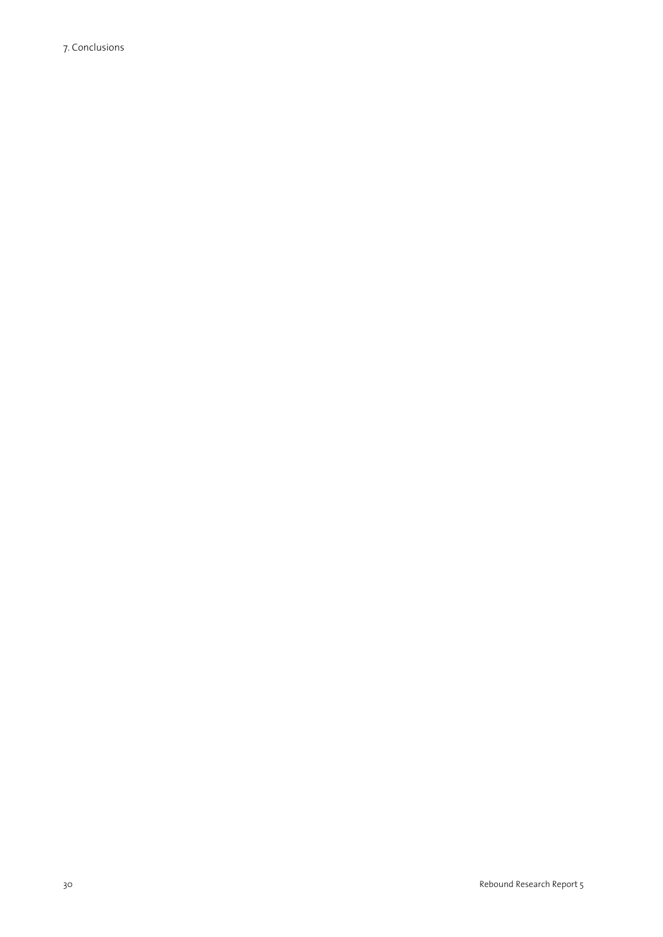7. Conclusions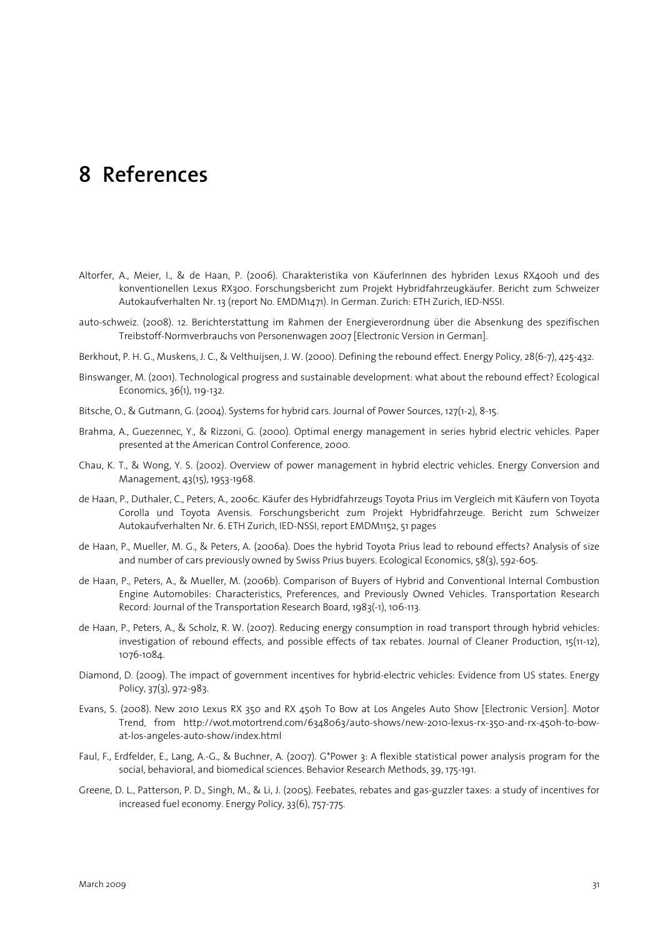## **8 References**

- Altorfer, A., Meier, I., & de Haan, P. (2006). Charakteristika von KäuferInnen des hybriden Lexus RX400h und des konventionellen Lexus RX300. Forschungsbericht zum Projekt Hybridfahrzeugkäufer. Bericht zum Schweizer Autokaufverhalten Nr. 13 (report No. EMDM1471). In German. Zurich: ETH Zurich, IED-NSSI.
- auto-schweiz. (2008). 12. Berichterstattung im Rahmen der Energieverordnung über die Absenkung des spezifischen Treibstoff-Normverbrauchs von Personenwagen 2007 [Electronic Version in German].
- Berkhout, P. H. G., Muskens, J. C., & Velthuijsen, J. W. (2000). Defining the rebound effect. Energy Policy, 28(6-7), 425-432.
- Binswanger, M. (2001). Technological progress and sustainable development: what about the rebound effect? Ecological Economics, 36(1), 119-132.
- Bitsche, O., & Gutmann, G. (2004). Systems for hybrid cars. Journal of Power Sources, 127(1-2), 8-15.
- Brahma, A., Guezennec, Y., & Rizzoni, G. (2000). Optimal energy management in series hybrid electric vehicles. Paper presented at the American Control Conference, 2000.
- Chau, K. T., & Wong, Y. S. (2002). Overview of power management in hybrid electric vehicles. Energy Conversion and Management, 43(15), 1953-1968.
- de Haan, P., Duthaler, C., Peters, A., 2006c. Käufer des Hybridfahrzeugs Toyota Prius im Vergleich mit Käufern von Toyota Corolla und Toyota Avensis. Forschungsbericht zum Projekt Hybridfahrzeuge. Bericht zum Schweizer Autokaufverhalten Nr. 6. ETH Zurich, IED-NSSI, report EMDM1152, 51 pages
- de Haan, P., Mueller, M. G., & Peters, A. (2006a). Does the hybrid Toyota Prius lead to rebound effects? Analysis of size and number of cars previously owned by Swiss Prius buyers. Ecological Economics, 58(3), 592-605.
- de Haan, P., Peters, A., & Mueller, M. (2006b). Comparison of Buyers of Hybrid and Conventional Internal Combustion Engine Automobiles: Characteristics, Preferences, and Previously Owned Vehicles. Transportation Research Record: Journal of the Transportation Research Board, 1983(-1), 106-113.
- de Haan, P., Peters, A., & Scholz, R. W. (2007). Reducing energy consumption in road transport through hybrid vehicles: investigation of rebound effects, and possible effects of tax rebates. Journal of Cleaner Production, 15(11-12), 1076-1084.
- Diamond, D. (2009). The impact of government incentives for hybrid-electric vehicles: Evidence from US states. Energy Policy, 37(3), 972-983.
- Evans, S. (2008). New 2010 Lexus RX 350 and RX 450h To Bow at Los Angeles Auto Show [Electronic Version]. Motor Trend, from http://wot.motortrend.com/6348063/auto-shows/new-2010-lexus-rx-350-and-rx-450h-to-bowat-los-angeles-auto-show/index.html
- Faul, F., Erdfelder, E., Lang, A.-G., & Buchner, A. (2007). G\*Power 3: A flexible statistical power analysis program for the social, behavioral, and biomedical sciences. Behavior Research Methods, 39, 175-191.
- Greene, D. L., Patterson, P. D., Singh, M., & Li, J. (2005). Feebates, rebates and gas-guzzler taxes: a study of incentives for increased fuel economy. Energy Policy, 33(6), 757-775.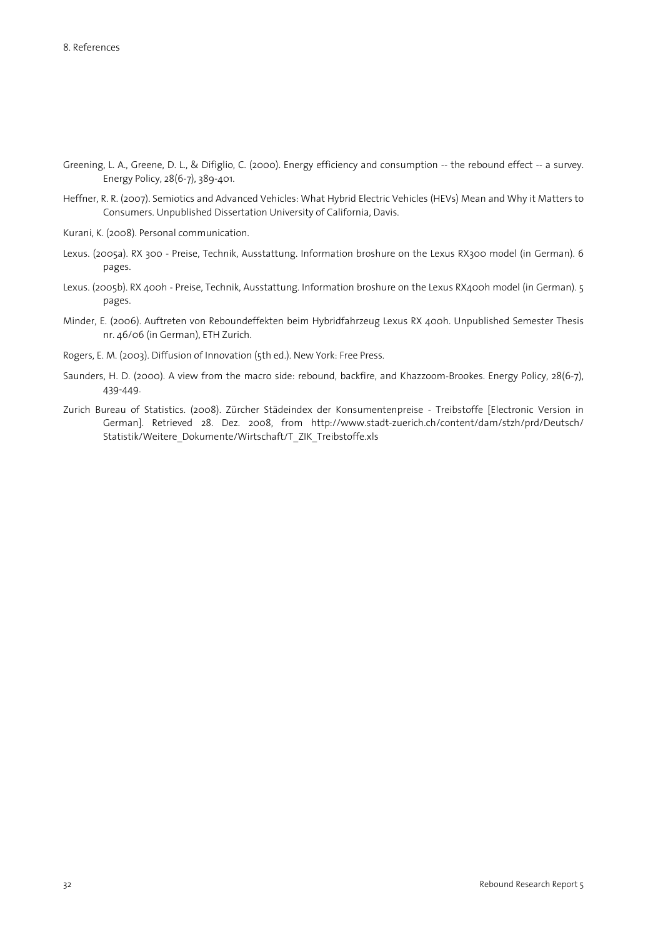- Greening, L. A., Greene, D. L., & Difiglio, C. (2000). Energy efficiency and consumption -- the rebound effect -- a survey. Energy Policy, 28(6-7), 389-401.
- Heffner, R. R. (2007). Semiotics and Advanced Vehicles: What Hybrid Electric Vehicles (HEVs) Mean and Why it Matters to Consumers. Unpublished Dissertation University of California, Davis.
- Kurani, K. (2008). Personal communication.
- Lexus. (2005a). RX 300 Preise, Technik, Ausstattung. Information broshure on the Lexus RX300 model (in German). 6 pages.
- Lexus. (2005b). RX 400h Preise, Technik, Ausstattung. Information broshure on the Lexus RX400h model (in German). 5 pages.
- Minder, E. (2006). Auftreten von Reboundeffekten beim Hybridfahrzeug Lexus RX 400h. Unpublished Semester Thesis nr. 46/06 (in German), ETH Zurich.
- Rogers, E. M. (2003). Diffusion of Innovation (5th ed.). New York: Free Press.
- Saunders, H. D. (2000). A view from the macro side: rebound, backfire, and Khazzoom-Brookes. Energy Policy, 28(6-7), 439-449.
- Zurich Bureau of Statistics. (2008). Zürcher Städeindex der Konsumentenpreise Treibstoffe [Electronic Version in German]. Retrieved 28. Dez. 2008, from http://www.stadt-zuerich.ch/content/dam/stzh/prd/Deutsch/ Statistik/Weitere\_Dokumente/Wirtschaft/T\_ZIK\_Treibstoffe.xls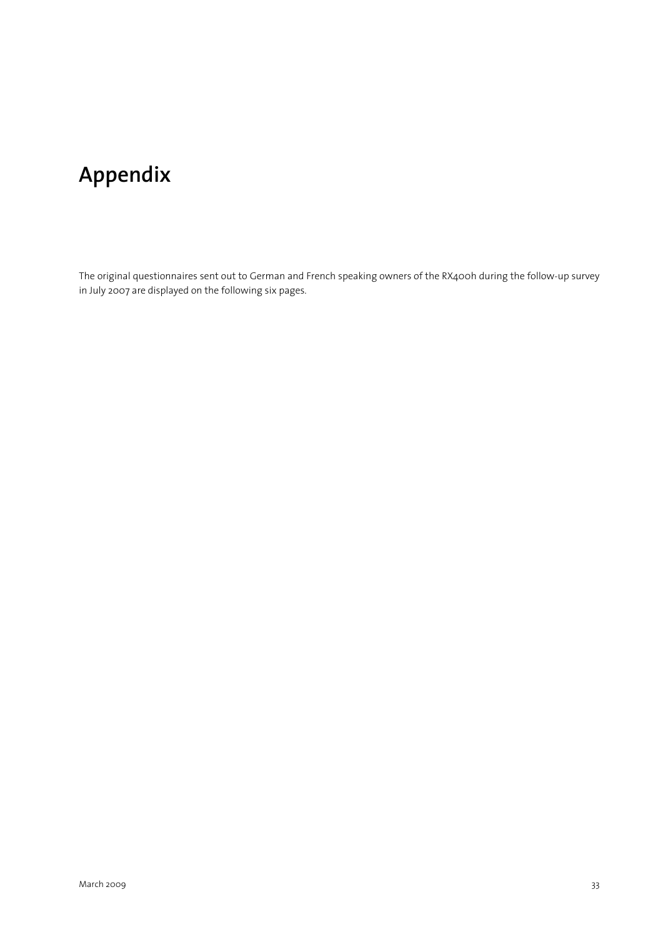## **Appendix**

The original questionnaires sent out to German and French speaking owners of the RX400h during the follow-up survey in July 2007 are displayed on the following six pages.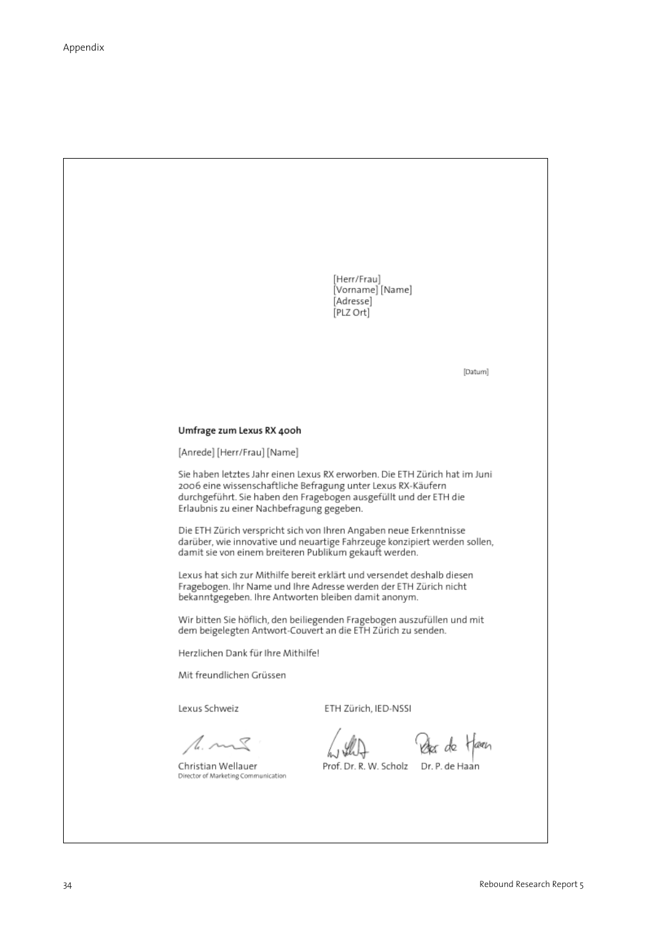|                                                                                                                                                                                                                                                              | [Herr/Frau]<br>[Vorname] [Name]<br>[Adresse]<br>[PLZ Ort] |         |
|--------------------------------------------------------------------------------------------------------------------------------------------------------------------------------------------------------------------------------------------------------------|-----------------------------------------------------------|---------|
|                                                                                                                                                                                                                                                              |                                                           | [Datum] |
| Umfrage zum Lexus RX 400h                                                                                                                                                                                                                                    |                                                           |         |
| [Anrede] [Herr/Frau] [Name]                                                                                                                                                                                                                                  |                                                           |         |
| Sie haben letztes Jahr einen Lexus RX erworben. Die ETH Zürich hat im Juni<br>2006 eine wissenschaftliche Befragung unter Lexus RX-Käufern<br>durchgeführt. Sie haben den Fragebogen ausgefüllt und der ETH die<br>Erlaubnis zu einer Nachbefragung gegeben. |                                                           |         |
| Die ETH Zürich verspricht sich von Ihren Angaben neue Erkenntnisse<br>darüber, wie innovative und neuartige Fahrzeuge konzipiert werden sollen,<br>damit sie von einem breiteren Publikum gekauft werden.                                                    |                                                           |         |
| Lexus hat sich zur Mithilfe bereit erklärt und versendet deshalb diesen<br>Fragebogen. Ihr Name und Ihre Adresse werden der ETH Zürich nicht<br>bekanntgegeben. Ihre Antworten bleiben damit anonym.                                                         |                                                           |         |
| Wir bitten Sie höflich, den beiliegenden Fragebogen auszufüllen und mit<br>dem beigelegten Antwort-Couvert an die ETH Zürich zu senden.                                                                                                                      |                                                           |         |
| Herzlichen Dank für Ihre Mithilfe!                                                                                                                                                                                                                           |                                                           |         |
| Mit freundlichen Grüssen                                                                                                                                                                                                                                     |                                                           |         |
| Lexus Schweiz                                                                                                                                                                                                                                                | ETH Zürich, IED-NSSI                                      |         |
| $\mu \sim$                                                                                                                                                                                                                                                   |                                                           | jæn     |
| Christian Wellauer<br>Director of Marketing Communication                                                                                                                                                                                                    | Prof. Dr. R. W. Scholz<br>Dr. P. de Haan                  |         |
|                                                                                                                                                                                                                                                              |                                                           |         |
|                                                                                                                                                                                                                                                              |                                                           |         |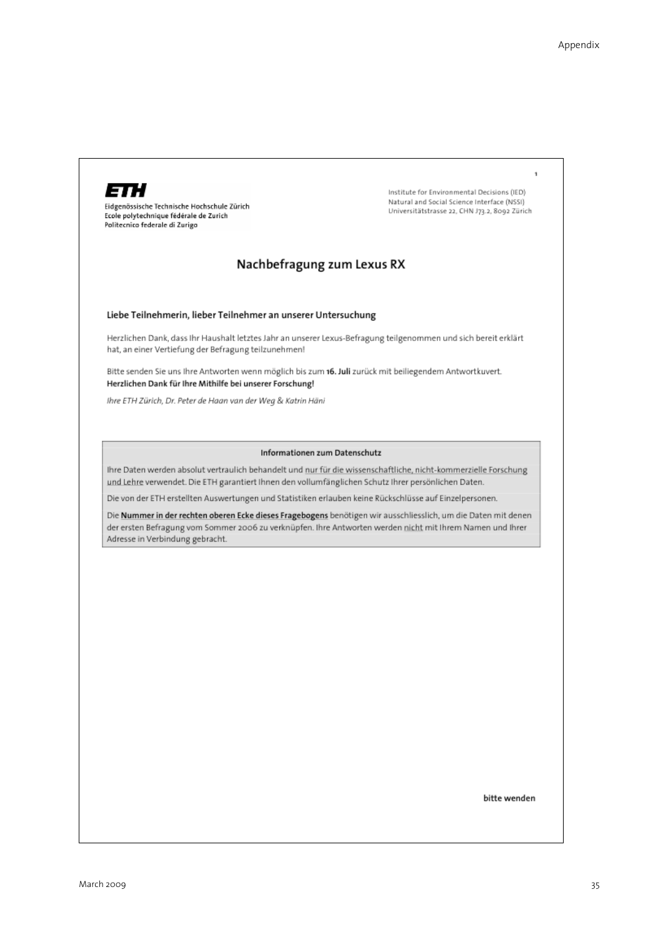x



Eidgenössische Technische Hochschule Zürich Ecole polytechnique fédérale de Zurich Politecnico federale di Zurigo

Institute for Environmental Decisions (IED) Matural and Social Science Interface (NSSI)<br>Universitätstrasse 22, CHN J73.2, 8092 Zürich

#### Nachbefragung zum Lexus RX

#### Liebe Teilnehmerin, lieber Teilnehmer an unserer Untersuchung

Herzlichen Dank, dass Ihr Haushalt letztes Jahr an unserer Lexus-Befragung teilgenommen und sich bereit erklärt hat, an einer Vertiefung der Befragung teilzunehmen!

Bitte senden Sie uns Ihre Antworten wenn möglich bis zum 16. Juli zurück mit beiliegendem Antwortkuvert. Herzlichen Dank für Ihre Mithilfe bei unserer Forschung!

Ihre ETH Zürich, Dr. Peter de Haan van der Weg & Katrin Häni

#### Informationen zum Datenschutz

Ihre Daten werden absolut vertraulich behandelt und nur für die wissenschaftliche, nicht-kommerzielle Forschung und Lehre verwendet. Die ETH garantiert Ihnen den vollumfänglichen Schutz Ihrer persönlichen Daten.

Die von der ETH erstellten Auswertungen und Statistiken erlauben keine Rückschlüsse auf Einzelpersonen.

Die Nummer in der rechten oberen Ecke dieses Fragebogens benötigen wir ausschliesslich, um die Daten mit denen der ersten Befragung vom Sommer 2006 zu verknüpfen. Ihre Antworten werden nicht mit Ihrem Namen und Ihrer Adresse in Verbindung gebracht.

bitte wenden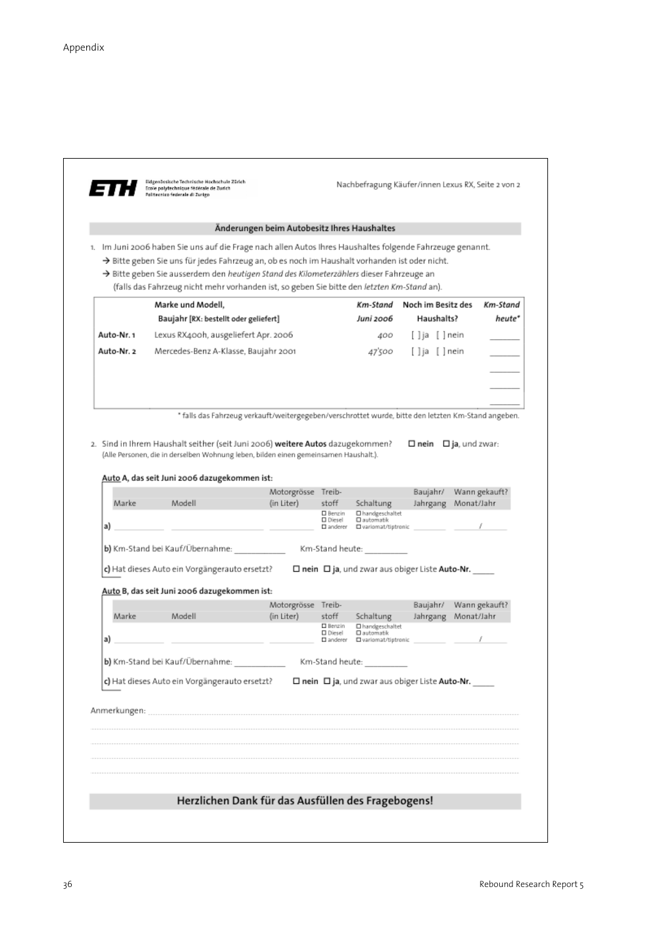|                                       |                                                                                                                                                                                                                        | Änderungen beim Autobesitz Ihres Haushaltes |                             |                                                       |                                                 |                                      |
|---------------------------------------|------------------------------------------------------------------------------------------------------------------------------------------------------------------------------------------------------------------------|---------------------------------------------|-----------------------------|-------------------------------------------------------|-------------------------------------------------|--------------------------------------|
|                                       |                                                                                                                                                                                                                        |                                             |                             |                                                       |                                                 |                                      |
|                                       | 1. Im Juni 2006 haben Sie uns auf die Frage nach allen Autos Ihres Haushaltes folgende Fahrzeuge genannt.<br>$\rightarrow$ Bitte geben Sie uns für jedes Fahrzeug an, ob es noch im Haushalt vorhanden ist oder nicht. |                                             |                             |                                                       |                                                 |                                      |
|                                       | > Bitte geben Sie ausserdem den heutigen Stand des Kilometerzählers dieser Fahrzeuge an                                                                                                                                |                                             |                             |                                                       |                                                 |                                      |
|                                       | (falls das Fahrzeug nicht mehr vorhanden ist, so geben Sie bitte den letzten Km-Stand an).                                                                                                                             |                                             |                             |                                                       |                                                 |                                      |
|                                       | Marke und Modell.                                                                                                                                                                                                      |                                             |                             | Km-Stand                                              | Noch im Besitz des                              | Km-Stand                             |
| Baujahr [RX: bestellt oder geliefert] |                                                                                                                                                                                                                        |                                             |                             | Juni 2006                                             | Haushalts?                                      | heute*                               |
| Auto-Nr. 1                            |                                                                                                                                                                                                                        | Lexus RX400h, ausgeliefert Apr. 2006        |                             | 400                                                   | [ ] ja [ ] nein                                 |                                      |
| Auto-Nr. 2                            | Mercedes-Benz A-Klasse, Baujahr 2001                                                                                                                                                                                   |                                             |                             | 47'500                                                | [ ] ja [ ] nein                                 |                                      |
|                                       |                                                                                                                                                                                                                        |                                             |                             |                                                       |                                                 |                                      |
|                                       |                                                                                                                                                                                                                        |                                             |                             |                                                       |                                                 |                                      |
|                                       |                                                                                                                                                                                                                        |                                             |                             |                                                       |                                                 |                                      |
|                                       |                                                                                                                                                                                                                        |                                             |                             |                                                       |                                                 |                                      |
|                                       | * falls das Fahrzeug verkauft/weitergegeben/verschrottet wurde, bitte den letzten Km-Stand angeben.                                                                                                                    |                                             |                             |                                                       |                                                 |                                      |
| Marke                                 | Modell                                                                                                                                                                                                                 | Motorgrösse Treib-<br>(in Liter)            | stoff                       | Schaltung                                             | Baujahr/                                        | Wann gekauft?<br>Jahrgang Monat/Jahr |
|                                       |                                                                                                                                                                                                                        |                                             | □ Benzin<br>□ Diesel        | nandgeschaltet<br>□ automatik<br>□ variomat/tiptronic |                                                 |                                      |
|                                       |                                                                                                                                                                                                                        |                                             |                             |                                                       |                                                 |                                      |
| a)                                    |                                                                                                                                                                                                                        |                                             | $\square$ anderer           |                                                       |                                                 |                                      |
|                                       | b) Km-Stand bei Kauf/Übernahme: _ _ _ _ _ _ Km-Stand heute:                                                                                                                                                            |                                             |                             |                                                       |                                                 |                                      |
|                                       | c) Hat dieses Auto ein Vorgängerauto ersetzt?                                                                                                                                                                          |                                             |                             |                                                       | □ nein □ ja, und zwar aus obiger Liste Auto-Nr. |                                      |
|                                       |                                                                                                                                                                                                                        |                                             |                             |                                                       |                                                 |                                      |
|                                       | Auto B, das seit Juni 2006 dazugekommen ist:                                                                                                                                                                           | Motorgrösse                                 | Treib-                      |                                                       | Baujahr/                                        | Wann gekauft?                        |
| Marke                                 | Modell                                                                                                                                                                                                                 | (in Liter)                                  | stoff                       | Schaltung                                             |                                                 | Jahrgang Monat/Jahr                  |
|                                       |                                                                                                                                                                                                                        |                                             | □ Benzin<br><b>D</b> Diesel | □ handgeschaltet<br>□ automatik                       |                                                 |                                      |
| a)                                    |                                                                                                                                                                                                                        |                                             | $\square$ anderer           | □ variomat/tiptronic                                  |                                                 |                                      |
|                                       | b) Km-Stand bei Kauf/Übernahme: _____________                                                                                                                                                                          |                                             |                             | Km-Stand heute:                                       |                                                 |                                      |
|                                       |                                                                                                                                                                                                                        |                                             |                             |                                                       |                                                 |                                      |
|                                       |                                                                                                                                                                                                                        |                                             |                             |                                                       |                                                 |                                      |
|                                       | c) Hat dieses Auto ein Vorgängerauto ersetzt?                                                                                                                                                                          |                                             |                             |                                                       | □ nein □ ja, und zwar aus obiger Liste Auto-Nr. |                                      |
|                                       |                                                                                                                                                                                                                        |                                             |                             |                                                       |                                                 |                                      |
|                                       |                                                                                                                                                                                                                        |                                             |                             |                                                       |                                                 |                                      |
|                                       |                                                                                                                                                                                                                        |                                             |                             |                                                       |                                                 |                                      |
|                                       |                                                                                                                                                                                                                        |                                             |                             |                                                       |                                                 |                                      |
|                                       |                                                                                                                                                                                                                        |                                             |                             |                                                       |                                                 |                                      |
|                                       |                                                                                                                                                                                                                        |                                             |                             |                                                       |                                                 |                                      |
|                                       |                                                                                                                                                                                                                        |                                             |                             |                                                       |                                                 |                                      |
|                                       |                                                                                                                                                                                                                        |                                             |                             |                                                       |                                                 |                                      |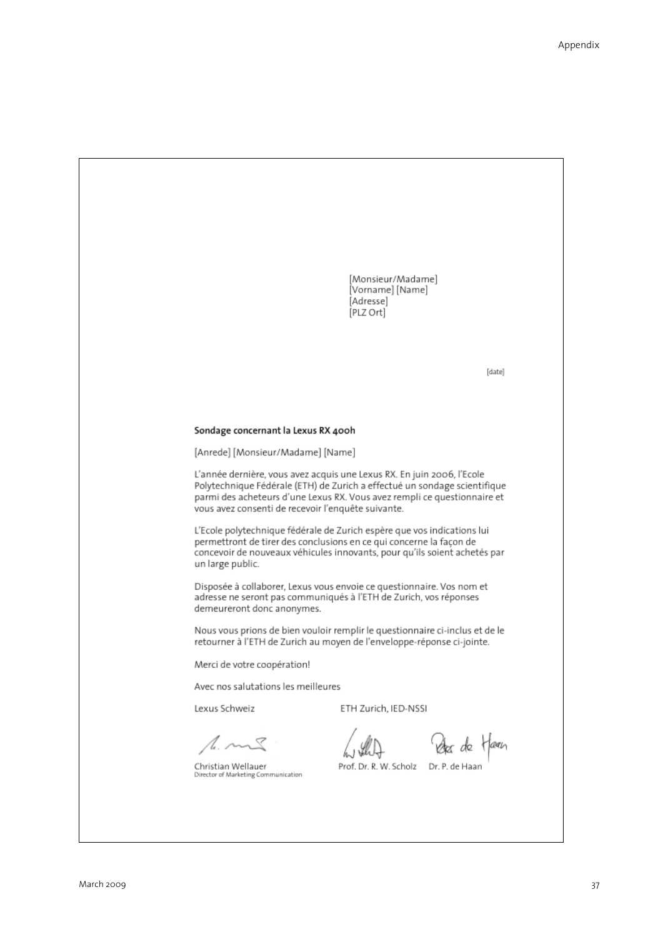[Monsieur/Madame] [Vorname] [Name] Adresse] [PLZ Ort]

[date]

#### Sondage concernant la Lexus RX 400h

[Anrede] [Monsieur/Madame] [Name]

L'année dernière, vous avez acquis une Lexus RX. En juin 2006, l'Ecole Polytechnique Fédérale (ETH) de Zurich a effectué un sondage scientifique parmi des acheteurs d'une Lexus RX. Vous avez rempli ce questionnaire et vous avez consenti de recevoir l'enquête suivante.

L'Ecole polytechnique fédérale de Zurich espère que vos indications lui permettront de tirer des conclusions en ce qui concerne la façon de concevoir de nouveaux véhicules innovants, pour qu'ils soient achetés par un large public.

Disposée à collaborer, Lexus vous envoie ce questionnaire. Vos nom et adresse ne seront pas communiqués à l'ETH de Zurich, vos réponses demeureront donc anonymes.

Nous vous prions de bien vouloir remplir le questionnaire ci-inclus et de le retourner à l'ETH de Zurich au moyen de l'enveloppe-réponse ci-jointe.

Merci de votre coopération!

Avec nos salutations les meilleures

Lexus Schweiz

1. mg

Christian Wellauer<br>Director of Marketing Communication

ETH Zurich, IED-NSSI

Der de Haan

Prof. Dr. R. W. Scholz Dr. P. de Haan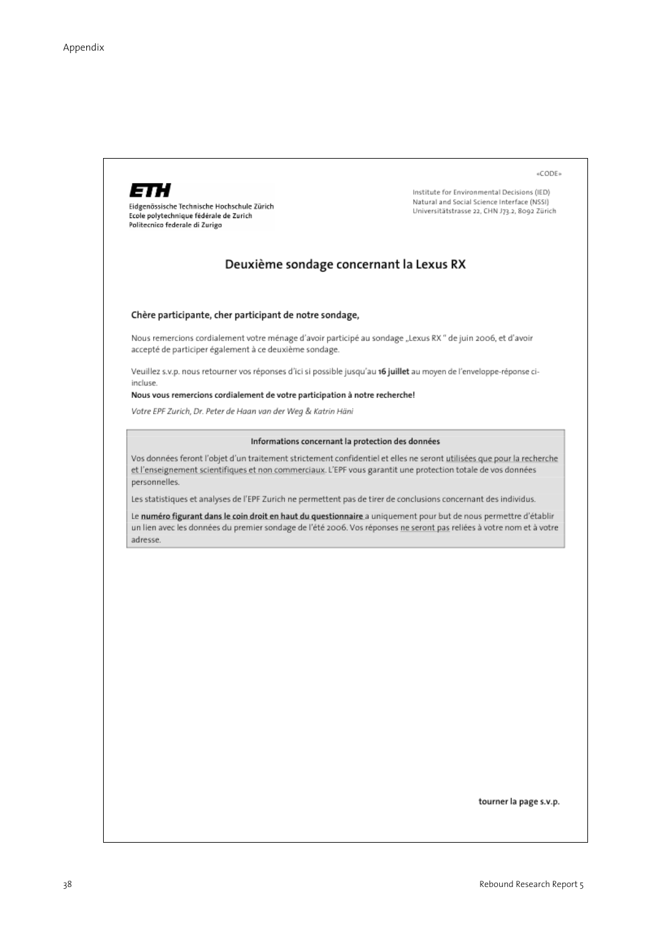«CODE»

Eidgenössische Technische Hochschule Zürich Ecole polytechnique fédérale de Zurich Politecnico federale di Zurigo

ETH

Institute for Environmental Decisions (IED) Natural and Social Science Interface (NSSI) Universitätstrasse 22, CHN J73.2, 8092 Zürich

#### Deuxième sondage concernant la Lexus RX

#### Chère participante, cher participant de notre sondage,

Nous remercions cordialement votre ménage d'avoir participé au sondage "Lexus RX" de juin 2006, et d'avoir accepté de participer également à ce deuxième sondage.

Veuillez s.v.p. nous retourner vos réponses d'ici si possible jusqu'au 16 juillet au moyen de l'enveloppe-réponse ciincluse.

#### Nous vous remercions cordialement de votre participation à notre recherche!

Votre EPF Zurich, Dr. Peter de Haan van der Weg & Katrin Häni

#### Informations concernant la protection des données

Vos données feront l'objet d'un traitement strictement confidentiel et elles ne seront utilisées que pour la recherche et l'enseignement scientifiques et non commerciaux. L'EPF vous garantit une protection totale de vos données personnelles.

Les statistiques et analyses de l'EPF Zurich ne permettent pas de tirer de conclusions concernant des individus.

Le numéro figurant dans le coin droit en haut du questionnaire a uniquement pour but de nous permettre d'établir un lien avec les données du premier sondage de l'été 2006. Vos réponses ne seront pas reliées à votre nom et à votre adresse.

tourner la page s.v.p.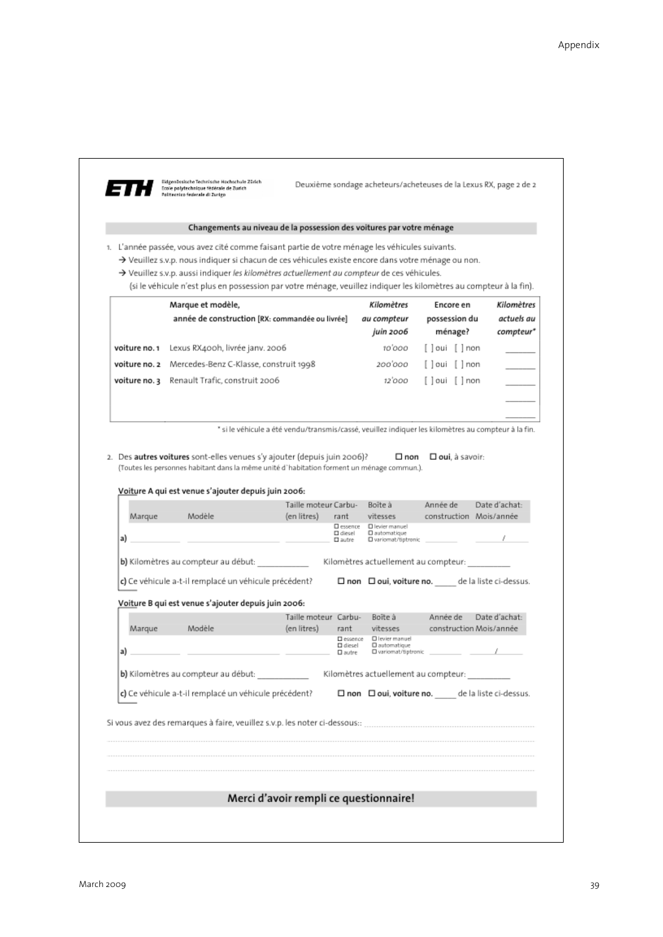

Eidgenössische Technische Hochschule Zürich<br>Icole polytechnique födérale de Zurich<br>Politecnico federale di Zurigo

Deuxième sondage acheteurs/acheteuses de la Lexus RX, page 2 de 2

#### Changements au niveau de la possession des voitures par votre ménage

- 1. L'année passée, vous avez cité comme faisant partie de votre ménage les véhicules suivants.
	- > Veuillez s.v.p. nous indiquer si chacun de ces véhicules existe encore dans votre ménage ou non.
	- > Veuillez s.v.p. aussi indiquer les kilomètres actuellement au compteur de ces véhicules.

(si le véhicule n'est plus en possession par votre ménage, veuillez indiquer les kilomètres au compteur à la fin).

| Marque et modèle,                               |                                                                                                       |                                                                                                   |                                               | Kilomètres                                           | Encore en                        | Kilomètres              |
|-------------------------------------------------|-------------------------------------------------------------------------------------------------------|---------------------------------------------------------------------------------------------------|-----------------------------------------------|------------------------------------------------------|----------------------------------|-------------------------|
| année de construction [RX: commandée ou livrée] |                                                                                                       |                                                                                                   |                                               | au compteur                                          | possession du                    | actuels au              |
|                                                 |                                                                                                       |                                                                                                   |                                               | juin 2006                                            | ménage?                          | compteur*               |
|                                                 | voiture no. 1 Lexus RX400h, livrée janv. 2006<br>voiture no. 2 Mercedes-Benz C-Klasse, construit 1998 |                                                                                                   |                                               | 10'000                                               | $[$ $]$ oui $[$ $]$ non          |                         |
|                                                 |                                                                                                       |                                                                                                   |                                               | 200'000                                              | [ ] oui [ ] non                  |                         |
|                                                 | voiture no. 3 Renault Trafic, construit 2006                                                          |                                                                                                   |                                               | 12'000                                               | [ ]oui [ ] non                   |                         |
|                                                 |                                                                                                       |                                                                                                   |                                               |                                                      |                                  |                         |
|                                                 |                                                                                                       |                                                                                                   |                                               |                                                      |                                  |                         |
|                                                 |                                                                                                       | si le véhicule a été vendu/transmis/cassé, veuillez indiquer les kilomètres au compteur à la fin. |                                               |                                                      |                                  |                         |
|                                                 |                                                                                                       |                                                                                                   |                                               |                                                      |                                  |                         |
|                                                 | 2. Des <b>autres voitures</b> sont-elles venues s'y ajouter (depuis juin 2006)?                       |                                                                                                   |                                               |                                                      | $\Box$ non $\Box$ oui, à savoir: |                         |
|                                                 | (Toutes les personnes habitant dans la même unité d'habitation forment un ménage commun.).            |                                                                                                   |                                               |                                                      |                                  |                         |
|                                                 | Voiture A qui est venue s'ajouter depuis juin 2006:                                                   |                                                                                                   |                                               |                                                      |                                  |                         |
|                                                 |                                                                                                       | Taille moteur Carbu-                                                                              |                                               | Boîte à                                              | Année de                         | Date d'achat:           |
| Marque                                          | Modèle                                                                                                | (en litres)                                                                                       | rant                                          | vitesses                                             | construction Mois/année          |                         |
| a)                                              |                                                                                                       |                                                                                                   | $\square$ essence<br>$\square$ diesel         | <b>D</b> levier manuel<br><b>D</b> automatique       |                                  |                         |
|                                                 |                                                                                                       |                                                                                                   | $\square$ autre                               | Dvariomat/tiptronic                                  |                                  |                         |
|                                                 | <b>b)</b> Kilomètres au compteur au début:                                                            |                                                                                                   |                                               | Kilomètres actuellement au compteur: ________        |                                  |                         |
|                                                 | Voiture B qui est venue s'ajouter depuis juin 2006:                                                   | Taille moteur Carbu-                                                                              |                                               | Boîte à                                              | Année de                         | Date d'achat:           |
| Marque                                          | Modèle                                                                                                | (en litres)                                                                                       | rant                                          | vitesses                                             |                                  | construction Mois/année |
| a)                                              |                                                                                                       |                                                                                                   | □ essence<br>$\Box$ diesel<br>$\square$ autre | O levier manuel<br>automatique<br>Variomat/tiptronic |                                  |                         |
|                                                 | <b>b)</b> Kilomètres au compteur au début:                                                            |                                                                                                   |                                               | Kilomètres actuellement au compteur:                 |                                  |                         |
|                                                 | c) Ce véhicule a-t-il remplacé un véhicule précédent?                                                 |                                                                                                   |                                               | □ non □ oui, voiture no. de la liste ci-dessus.      |                                  |                         |
|                                                 |                                                                                                       |                                                                                                   |                                               |                                                      |                                  |                         |
|                                                 |                                                                                                       |                                                                                                   |                                               |                                                      |                                  |                         |
|                                                 |                                                                                                       |                                                                                                   |                                               |                                                      |                                  |                         |
|                                                 |                                                                                                       |                                                                                                   |                                               |                                                      |                                  |                         |
|                                                 |                                                                                                       |                                                                                                   |                                               |                                                      |                                  |                         |